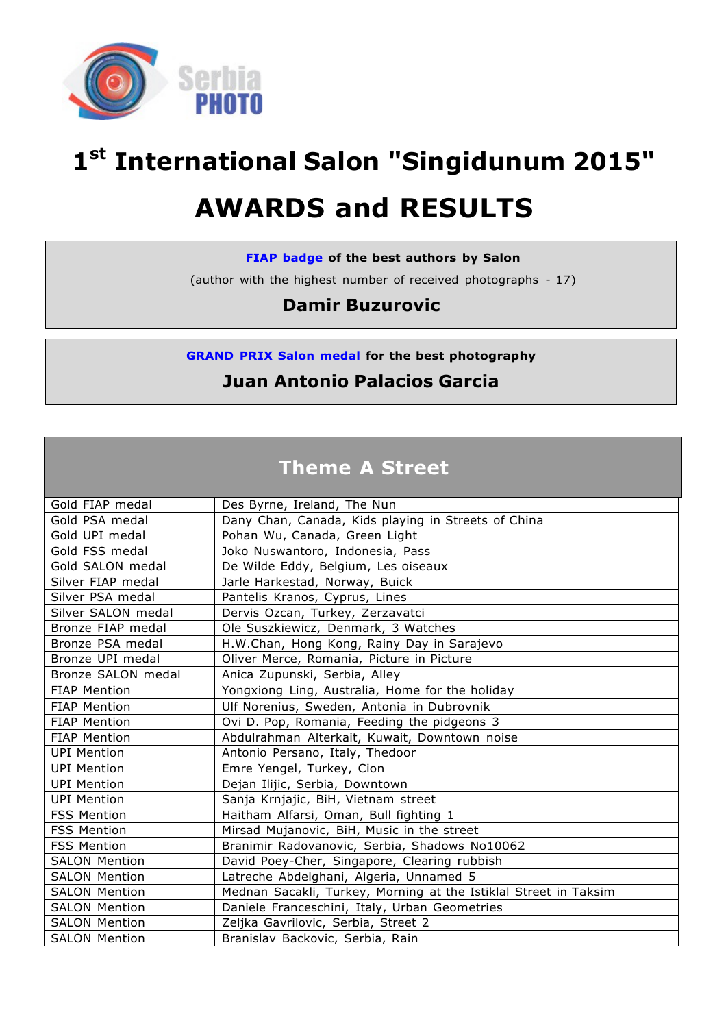

# **1st International Salon "Singidunum 2015"**

# **AWARDS and RESULTS**

#### **FIAP badge of the best authors by Salon**

(author with the highest number of received photographs - 17)

# **Damir Buzurovic**

**GRAND PRIX Salon medal for the best photography**

# **Juan Antonio Palacios Garcia**

# **Theme A Street**

| Gold FIAP medal      | Des Byrne, Ireland, The Nun                                      |
|----------------------|------------------------------------------------------------------|
| Gold PSA medal       | Dany Chan, Canada, Kids playing in Streets of China              |
| Gold UPI medal       | Pohan Wu, Canada, Green Light                                    |
| Gold FSS medal       | Joko Nuswantoro, Indonesia, Pass                                 |
| Gold SALON medal     | De Wilde Eddy, Belgium, Les oiseaux                              |
| Silver FIAP medal    | Jarle Harkestad, Norway, Buick                                   |
| Silver PSA medal     | Pantelis Kranos, Cyprus, Lines                                   |
| Silver SALON medal   | Dervis Ozcan, Turkey, Zerzavatci                                 |
| Bronze FIAP medal    | Ole Suszkiewicz, Denmark, 3 Watches                              |
| Bronze PSA medal     | H.W.Chan, Hong Kong, Rainy Day in Sarajevo                       |
| Bronze UPI medal     | Oliver Merce, Romania, Picture in Picture                        |
| Bronze SALON medal   | Anica Zupunski, Serbia, Alley                                    |
| <b>FIAP Mention</b>  | Yongxiong Ling, Australia, Home for the holiday                  |
| <b>FIAP Mention</b>  | Ulf Norenius, Sweden, Antonia in Dubrovnik                       |
| <b>FIAP Mention</b>  | Ovi D. Pop, Romania, Feeding the pidgeons 3                      |
| <b>FIAP Mention</b>  | Abdulrahman Alterkait, Kuwait, Downtown noise                    |
| <b>UPI Mention</b>   | Antonio Persano, Italy, Thedoor                                  |
| <b>UPI Mention</b>   | Emre Yengel, Turkey, Cion                                        |
| <b>UPI Mention</b>   | Dejan Ilijic, Serbia, Downtown                                   |
| <b>UPI Mention</b>   | Sanja Krnjajic, BiH, Vietnam street                              |
| <b>FSS Mention</b>   | Haitham Alfarsi, Oman, Bull fighting 1                           |
| <b>FSS Mention</b>   | Mirsad Mujanovic, BiH, Music in the street                       |
| <b>FSS Mention</b>   | Branimir Radovanovic, Serbia, Shadows No10062                    |
| <b>SALON Mention</b> | David Poey-Cher, Singapore, Clearing rubbish                     |
| <b>SALON Mention</b> | Latreche Abdelghani, Algeria, Unnamed 5                          |
| <b>SALON Mention</b> | Mednan Sacakli, Turkey, Morning at the Istiklal Street in Taksim |
| <b>SALON Mention</b> | Daniele Franceschini, Italy, Urban Geometries                    |
| <b>SALON Mention</b> | Zeljka Gavrilovic, Serbia, Street 2                              |
| <b>SALON Mention</b> | Branislav Backovic, Serbia, Rain                                 |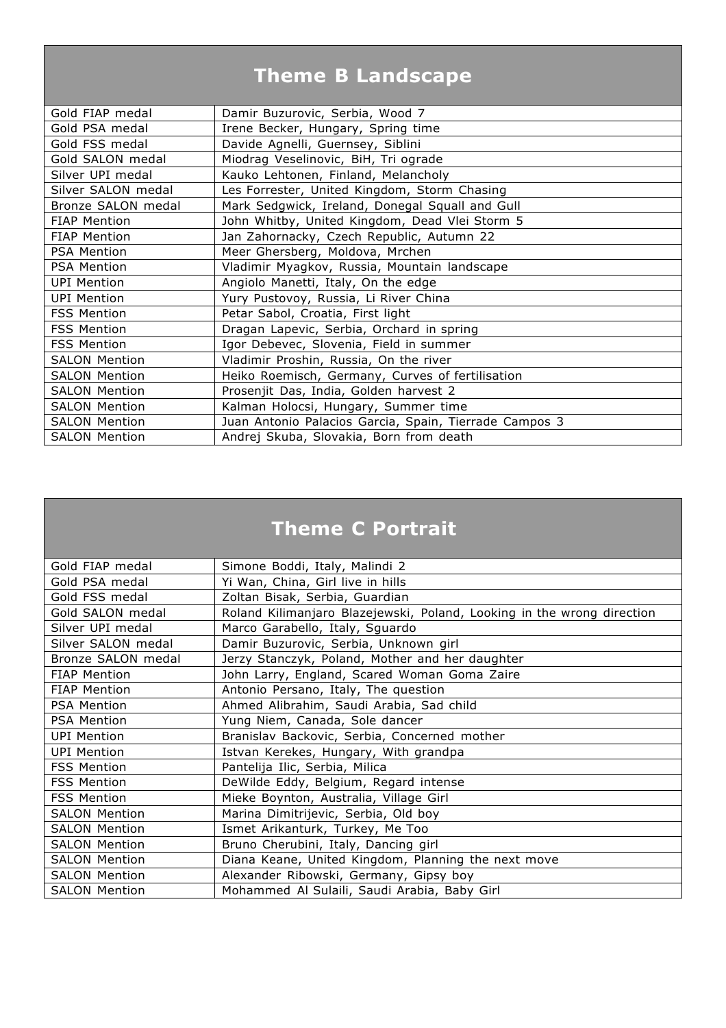# **Theme B Landscape**

| Gold FIAP medal      | Damir Buzurovic, Serbia, Wood 7                        |
|----------------------|--------------------------------------------------------|
| Gold PSA medal       | Irene Becker, Hungary, Spring time                     |
| Gold FSS medal       | Davide Agnelli, Guernsey, Siblini                      |
| Gold SALON medal     | Miodrag Veselinovic, BiH, Tri ograde                   |
| Silver UPI medal     | Kauko Lehtonen, Finland, Melancholy                    |
| Silver SALON medal   | Les Forrester, United Kingdom, Storm Chasing           |
| Bronze SALON medal   | Mark Sedgwick, Ireland, Donegal Squall and Gull        |
| <b>FIAP Mention</b>  | John Whitby, United Kingdom, Dead Vlei Storm 5         |
| <b>FIAP Mention</b>  | Jan Zahornacky, Czech Republic, Autumn 22              |
| <b>PSA Mention</b>   | Meer Ghersberg, Moldova, Mrchen                        |
| <b>PSA Mention</b>   | Vladimir Myagkov, Russia, Mountain landscape           |
| <b>UPI Mention</b>   | Angiolo Manetti, Italy, On the edge                    |
| <b>UPI Mention</b>   | Yury Pustovoy, Russia, Li River China                  |
| <b>FSS Mention</b>   | Petar Sabol, Croatia, First light                      |
| <b>FSS Mention</b>   | Dragan Lapevic, Serbia, Orchard in spring              |
| <b>FSS Mention</b>   | Igor Debevec, Slovenia, Field in summer                |
| <b>SALON Mention</b> | Vladimir Proshin, Russia, On the river                 |
| <b>SALON Mention</b> | Heiko Roemisch, Germany, Curves of fertilisation       |
| <b>SALON Mention</b> | Prosenjit Das, India, Golden harvest 2                 |
| <b>SALON Mention</b> | Kalman Holocsi, Hungary, Summer time                   |
| <b>SALON Mention</b> | Juan Antonio Palacios Garcia, Spain, Tierrade Campos 3 |
| <b>SALON Mention</b> | Andrej Skuba, Slovakia, Born from death                |

# **Theme C Portrait**

| Gold FIAP medal      | Simone Boddi, Italy, Malindi 2                                         |
|----------------------|------------------------------------------------------------------------|
| Gold PSA medal       | Yi Wan, China, Girl live in hills                                      |
| Gold FSS medal       | Zoltan Bisak, Serbia, Guardian                                         |
| Gold SALON medal     | Roland Kilimanjaro Blazejewski, Poland, Looking in the wrong direction |
| Silver UPI medal     | Marco Garabello, Italy, Squardo                                        |
| Silver SALON medal   | Damir Buzurovic, Serbia, Unknown girl                                  |
| Bronze SALON medal   | Jerzy Stanczyk, Poland, Mother and her daughter                        |
| <b>FIAP Mention</b>  | John Larry, England, Scared Woman Goma Zaire                           |
| <b>FIAP Mention</b>  | Antonio Persano, Italy, The question                                   |
| <b>PSA Mention</b>   | Ahmed Alibrahim, Saudi Arabia, Sad child                               |
| <b>PSA Mention</b>   | Yung Niem, Canada, Sole dancer                                         |
| <b>UPI Mention</b>   | Branislav Backovic, Serbia, Concerned mother                           |
| <b>UPI Mention</b>   | Istvan Kerekes, Hungary, With grandpa                                  |
| <b>FSS Mention</b>   | Pantelija Ilic, Serbia, Milica                                         |
| <b>FSS Mention</b>   | DeWilde Eddy, Belgium, Regard intense                                  |
| <b>FSS Mention</b>   | Mieke Boynton, Australia, Village Girl                                 |
| <b>SALON Mention</b> | Marina Dimitrijevic, Serbia, Old boy                                   |
| <b>SALON Mention</b> | Ismet Arikanturk, Turkey, Me Too                                       |
| <b>SALON Mention</b> | Bruno Cherubini, Italy, Dancing girl                                   |
| <b>SALON Mention</b> | Diana Keane, United Kingdom, Planning the next move                    |
| <b>SALON Mention</b> | Alexander Ribowski, Germany, Gipsy boy                                 |
| <b>SALON Mention</b> | Mohammed Al Sulaili, Saudi Arabia, Baby Girl                           |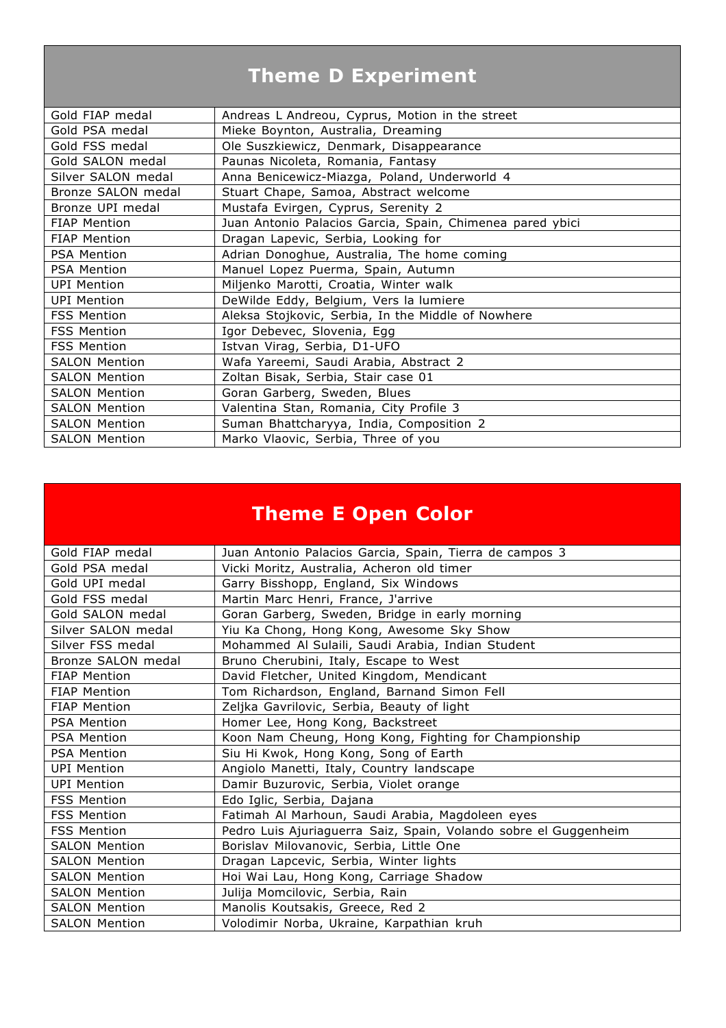# **Theme D Experiment**

| Gold FIAP medal      | Andreas L Andreou, Cyprus, Motion in the street           |
|----------------------|-----------------------------------------------------------|
| Gold PSA medal       | Mieke Boynton, Australia, Dreaming                        |
| Gold FSS medal       | Ole Suszkiewicz, Denmark, Disappearance                   |
| Gold SALON medal     | Paunas Nicoleta, Romania, Fantasy                         |
| Silver SALON medal   | Anna Benicewicz-Miazga, Poland, Underworld 4              |
| Bronze SALON medal   | Stuart Chape, Samoa, Abstract welcome                     |
| Bronze UPI medal     | Mustafa Evirgen, Cyprus, Serenity 2                       |
| <b>FIAP Mention</b>  | Juan Antonio Palacios Garcia, Spain, Chimenea pared ybici |
| <b>FIAP Mention</b>  | Dragan Lapevic, Serbia, Looking for                       |
| <b>PSA Mention</b>   | Adrian Donoghue, Australia, The home coming               |
| <b>PSA Mention</b>   | Manuel Lopez Puerma, Spain, Autumn                        |
| <b>UPI Mention</b>   | Miljenko Marotti, Croatia, Winter walk                    |
| <b>UPI Mention</b>   | DeWilde Eddy, Belgium, Vers la lumiere                    |
| <b>FSS Mention</b>   | Aleksa Stojkovic, Serbia, In the Middle of Nowhere        |
| <b>FSS Mention</b>   | Igor Debevec, Slovenia, Egg                               |
| <b>FSS Mention</b>   | Istvan Virag, Serbia, D1-UFO                              |
| <b>SALON Mention</b> | Wafa Yareemi, Saudi Arabia, Abstract 2                    |
| <b>SALON Mention</b> | Zoltan Bisak, Serbia, Stair case 01                       |
| <b>SALON Mention</b> | Goran Garberg, Sweden, Blues                              |
| <b>SALON Mention</b> | Valentina Stan, Romania, City Profile 3                   |
| <b>SALON Mention</b> | Suman Bhattcharyya, India, Composition 2                  |
| <b>SALON Mention</b> | Marko Vlaovic, Serbia, Three of you                       |

# **Theme E Open Color**

| Gold FIAP medal      | Juan Antonio Palacios Garcia, Spain, Tierra de campos 3          |
|----------------------|------------------------------------------------------------------|
| Gold PSA medal       | Vicki Moritz, Australia, Acheron old timer                       |
| Gold UPI medal       | Garry Bisshopp, England, Six Windows                             |
| Gold FSS medal       | Martin Marc Henri, France, J'arrive                              |
| Gold SALON medal     | Goran Garberg, Sweden, Bridge in early morning                   |
| Silver SALON medal   | Yiu Ka Chong, Hong Kong, Awesome Sky Show                        |
| Silver FSS medal     | Mohammed Al Sulaili, Saudi Arabia, Indian Student                |
| Bronze SALON medal   | Bruno Cherubini, Italy, Escape to West                           |
| <b>FIAP Mention</b>  | David Fletcher, United Kingdom, Mendicant                        |
| <b>FIAP Mention</b>  | Tom Richardson, England, Barnand Simon Fell                      |
| <b>FIAP Mention</b>  | Zeljka Gavrilovic, Serbia, Beauty of light                       |
| PSA Mention          | Homer Lee, Hong Kong, Backstreet                                 |
| <b>PSA Mention</b>   | Koon Nam Cheung, Hong Kong, Fighting for Championship            |
| PSA Mention          | Siu Hi Kwok, Hong Kong, Song of Earth                            |
| <b>UPI Mention</b>   | Angiolo Manetti, Italy, Country landscape                        |
| <b>UPI Mention</b>   | Damir Buzurovic, Serbia, Violet orange                           |
| <b>FSS Mention</b>   | Edo Iglic, Serbia, Dajana                                        |
| <b>FSS Mention</b>   | Fatimah Al Marhoun, Saudi Arabia, Magdoleen eyes                 |
| <b>FSS Mention</b>   | Pedro Luis Ajuriaguerra Saiz, Spain, Volando sobre el Guggenheim |
| <b>SALON Mention</b> | Borislav Milovanovic, Serbia, Little One                         |
| <b>SALON Mention</b> | Dragan Lapcevic, Serbia, Winter lights                           |
| <b>SALON Mention</b> | Hoi Wai Lau, Hong Kong, Carriage Shadow                          |
| <b>SALON Mention</b> | Julija Momcilovic, Serbia, Rain                                  |
| <b>SALON Mention</b> | Manolis Koutsakis, Greece, Red 2                                 |
| <b>SALON Mention</b> | Volodimir Norba, Ukraine, Karpathian kruh                        |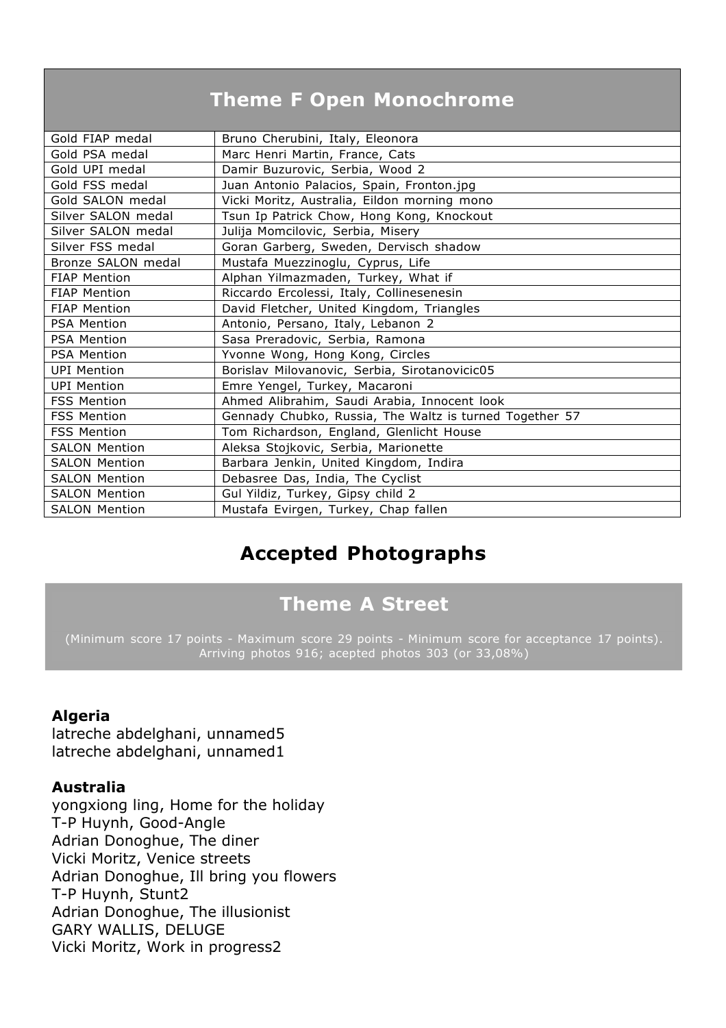# **Theme F Open Monochrome**

| Gold FIAP medal      | Bruno Cherubini, Italy, Eleonora                        |
|----------------------|---------------------------------------------------------|
| Gold PSA medal       | Marc Henri Martin, France, Cats                         |
| Gold UPI medal       | Damir Buzurovic, Serbia, Wood 2                         |
| Gold FSS medal       | Juan Antonio Palacios, Spain, Fronton.jpg               |
| Gold SALON medal     | Vicki Moritz, Australia, Eildon morning mono            |
| Silver SALON medal   | Tsun Ip Patrick Chow, Hong Kong, Knockout               |
| Silver SALON medal   | Julija Momcilovic, Serbia, Misery                       |
| Silver FSS medal     | Goran Garberg, Sweden, Dervisch shadow                  |
| Bronze SALON medal   | Mustafa Muezzinoglu, Cyprus, Life                       |
| <b>FIAP Mention</b>  | Alphan Yilmazmaden, Turkey, What if                     |
| <b>FIAP Mention</b>  | Riccardo Ercolessi, Italy, Collinesenesin               |
| <b>FIAP Mention</b>  | David Fletcher, United Kingdom, Triangles               |
| <b>PSA Mention</b>   | Antonio, Persano, Italy, Lebanon 2                      |
| <b>PSA Mention</b>   | Sasa Preradovic, Serbia, Ramona                         |
| <b>PSA Mention</b>   | Yvonne Wong, Hong Kong, Circles                         |
| <b>UPI Mention</b>   | Borislav Milovanovic, Serbia, Sirotanovicic05           |
| <b>UPI Mention</b>   | Emre Yengel, Turkey, Macaroni                           |
| <b>FSS Mention</b>   | Ahmed Alibrahim, Saudi Arabia, Innocent look            |
| <b>FSS Mention</b>   | Gennady Chubko, Russia, The Waltz is turned Together 57 |
| <b>FSS Mention</b>   | Tom Richardson, England, Glenlicht House                |
| <b>SALON Mention</b> | Aleksa Stojkovic, Serbia, Marionette                    |
| <b>SALON Mention</b> | Barbara Jenkin, United Kingdom, Indira                  |
| <b>SALON Mention</b> | Debasree Das, India, The Cyclist                        |
| <b>SALON Mention</b> | Gul Yildiz, Turkey, Gipsy child 2                       |
| <b>SALON Mention</b> | Mustafa Evirgen, Turkey, Chap fallen                    |
|                      |                                                         |

# **Accepted Photographs**

# **Theme A Street**

(Minimum score 17 points - Maximum score 29 points - Minimum score for acceptance 17 points). Arriving photos 916; acepted photos 303 (or 33,08%)

#### **Algeria**

latreche abdelghani, unnamed5 latreche abdelghani, unnamed1

#### **Australia**

yongxiong ling, Home for the holiday T-P Huynh, Good-Angle Adrian Donoghue, The diner Vicki Moritz, Venice streets Adrian Donoghue, Ill bring you flowers T-P Huynh, Stunt2 Adrian Donoghue, The illusionist GARY WALLIS, DELUGE Vicki Moritz, Work in progress2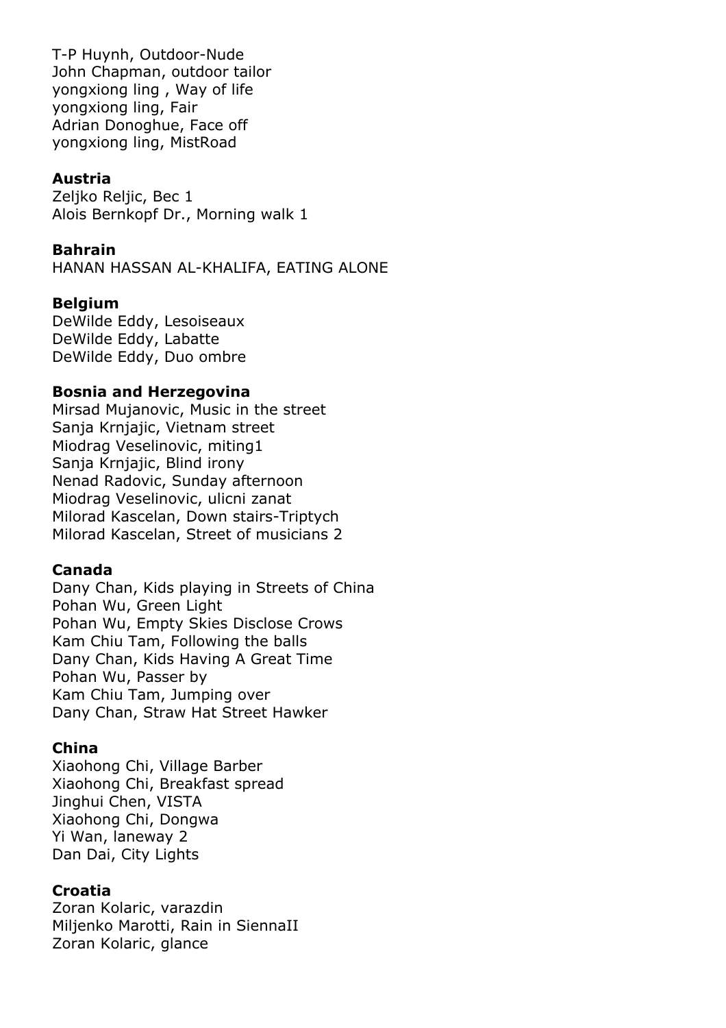T-P Huynh, Outdoor-Nude John Chapman, outdoor tailor yongxiong ling , Way of life yongxiong ling, Fair Adrian Donoghue, Face off yongxiong ling, MistRoad

#### **Austria**

Zeljko Reljic, Bec 1 Alois Bernkopf Dr., Morning walk 1

#### **Bahrain**

HANAN HASSAN AL-KHALIFA, EATING ALONE

#### **Belgium**

DeWilde Eddy, Lesoiseaux DeWilde Eddy, Labatte DeWilde Eddy, Duo ombre

#### **Bosnia and Herzegovina**

Mirsad Mujanovic, Music in the street Sanja Krnjajic, Vietnam street Miodrag Veselinovic, miting1 Sanja Krnjajic, Blind irony Nenad Radovic, Sunday afternoon Miodrag Veselinovic, ulicni zanat Milorad Kascelan, Down stairs-Triptych Milorad Kascelan, Street of musicians 2

#### **Canada**

Dany Chan, Kids playing in Streets of China Pohan Wu, Green Light Pohan Wu, Empty Skies Disclose Crows Kam Chiu Tam, Following the balls Dany Chan, Kids Having A Great Time Pohan Wu, Passer by Kam Chiu Tam, Jumping over Dany Chan, Straw Hat Street Hawker

#### **China**

Xiaohong Chi, Village Barber Xiaohong Chi, Breakfast spread Jinghui Chen, VISTA Xiaohong Chi, Dongwa Yi Wan, laneway 2 Dan Dai, City Lights

#### **Croatia**

Zoran Kolaric, varazdin Miljenko Marotti, Rain in SiennaII Zoran Kolaric, glance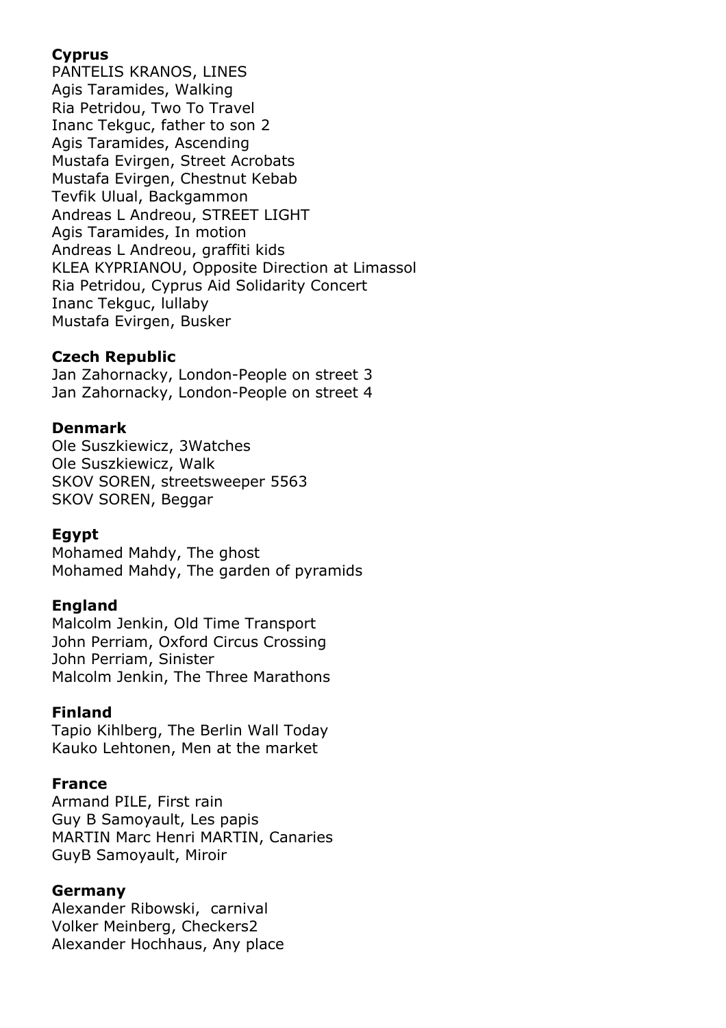# **Cyprus**

PANTELIS KRANOS, LINES Agis Taramides, Walking Ria Petridou, Two To Travel Inanc Tekguc, father to son 2 Agis Taramides, Ascending Mustafa Evirgen, Street Acrobats Mustafa Evirgen, Chestnut Kebab Tevfik Ulual, Backgammon Andreas L Andreou, STREET LIGHT Agis Taramides, In motion Andreas L Andreou, graffiti kids KLEA KYPRIANOU, Opposite Direction at Limassol Ria Petridou, Cyprus Aid Solidarity Concert Inanc Tekguc, lullaby Mustafa Evirgen, Busker

# **Czech Republic**

Jan Zahornacky, London-People on street 3 Jan Zahornacky, London-People on street 4

# **Denmark**

Ole Suszkiewicz, 3Watches Ole Suszkiewicz, Walk SKOV SOREN, streetsweeper 5563 SKOV SOREN, Beggar

# **Egypt**

Mohamed Mahdy, The ghost Mohamed Mahdy, The garden of pyramids

#### **England**

Malcolm Jenkin, Old Time Transport John Perriam, Oxford Circus Crossing John Perriam, Sinister Malcolm Jenkin, The Three Marathons

#### **Finland**

Tapio Kihlberg, The Berlin Wall Today Kauko Lehtonen, Men at the market

#### **France**

Armand PILE, First rain Guy B Samoyault, Les papis MARTIN Marc Henri MARTIN, Canaries GuyB Samoyault, Miroir

# **Germany**

Alexander Ribowski, carnival Volker Meinberg, Checkers2 Alexander Hochhaus, Any place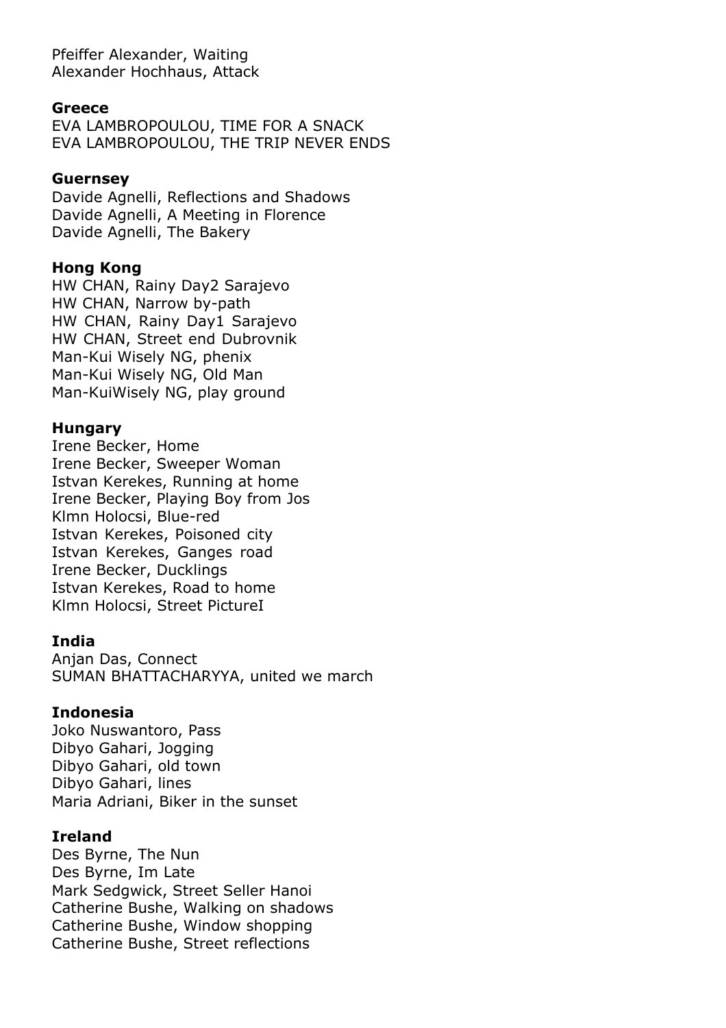Pfeiffer Alexander, Waiting Alexander Hochhaus, Attack

#### **Greece**

EVA LAMBROPOULOU, TIME FOR A SNACK EVA LAMBROPOULOU, THE TRIP NEVER ENDS

#### **Guernsey**

Davide Agnelli, Reflections and Shadows Davide Agnelli, A Meeting in Florence Davide Agnelli, The Bakery

#### **Hong Kong**

HW CHAN, Rainy Day2 Sarajevo HW CHAN, Narrow by-path HW CHAN, Rainy Day1 Sarajevo HW CHAN, Street end Dubrovnik Man-Kui Wisely NG, phenix Man-Kui Wisely NG, Old Man Man-KuiWisely NG, play ground

# **Hungary**

Irene Becker, Home Irene Becker, Sweeper Woman Istvan Kerekes, Running at home Irene Becker, Playing Boy from Jos Klmn Holocsi, Blue-red Istvan Kerekes, Poisoned city Istvan Kerekes, Ganges road Irene Becker, Ducklings Istvan Kerekes, Road to home Klmn Holocsi, Street PictureI

#### **India**

Anjan Das, Connect SUMAN BHATTACHARYYA, united we march

#### **Indonesia**

Joko Nuswantoro, Pass Dibyo Gahari, Jogging Dibyo Gahari, old town Dibyo Gahari, lines Maria Adriani, Biker in the sunset

#### **Ireland**

Des Byrne, The Nun Des Byrne, Im Late Mark Sedgwick, Street Seller Hanoi Catherine Bushe, Walking on shadows Catherine Bushe, Window shopping Catherine Bushe, Street reflections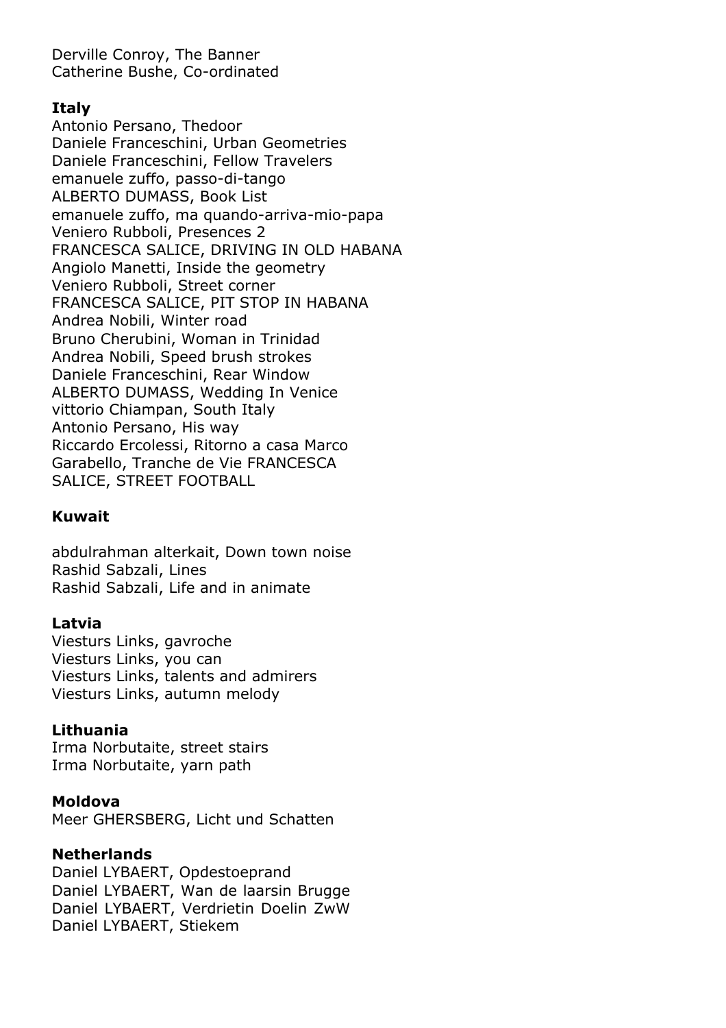Derville Conroy, The Banner Catherine Bushe, Co-ordinated

# **Italy**

Antonio Persano, Thedoor Daniele Franceschini, Urban Geometries Daniele Franceschini, Fellow Travelers emanuele zuffo, passo-di-tango ALBERTO DUMASS, Book List emanuele zuffo, ma quando-arriva-mio-papa Veniero Rubboli, Presences 2 FRANCESCA SALICE, DRIVING IN OLD HABANA Angiolo Manetti, Inside the geometry Veniero Rubboli, Street corner FRANCESCA SALICE, PIT STOP IN HABANA Andrea Nobili, Winter road Bruno Cherubini, Woman in Trinidad Andrea Nobili, Speed brush strokes Daniele Franceschini, Rear Window ALBERTO DUMASS, Wedding In Venice vittorio Chiampan, South Italy Antonio Persano, His way Riccardo Ercolessi, Ritorno a casa Marco Garabello, Tranche de Vie FRANCESCA SALICE, STREET FOOTBALL

# **Kuwait**

abdulrahman alterkait, Down town noise Rashid Sabzali, Lines Rashid Sabzali, Life and in animate

#### **Latvia**

Viesturs Links, gavroche Viesturs Links, you can Viesturs Links, talents and admirers Viesturs Links, autumn melody

#### **Lithuania**

Irma Norbutaite, street stairs Irma Norbutaite, yarn path

#### **Moldova**

Meer GHERSBERG, Licht und Schatten

#### **Netherlands**

Daniel LYBAERT, Opdestoeprand Daniel LYBAERT, Wan de laarsin Brugge Daniel LYBAERT, Verdrietin Doelin ZwW Daniel LYBAERT, Stiekem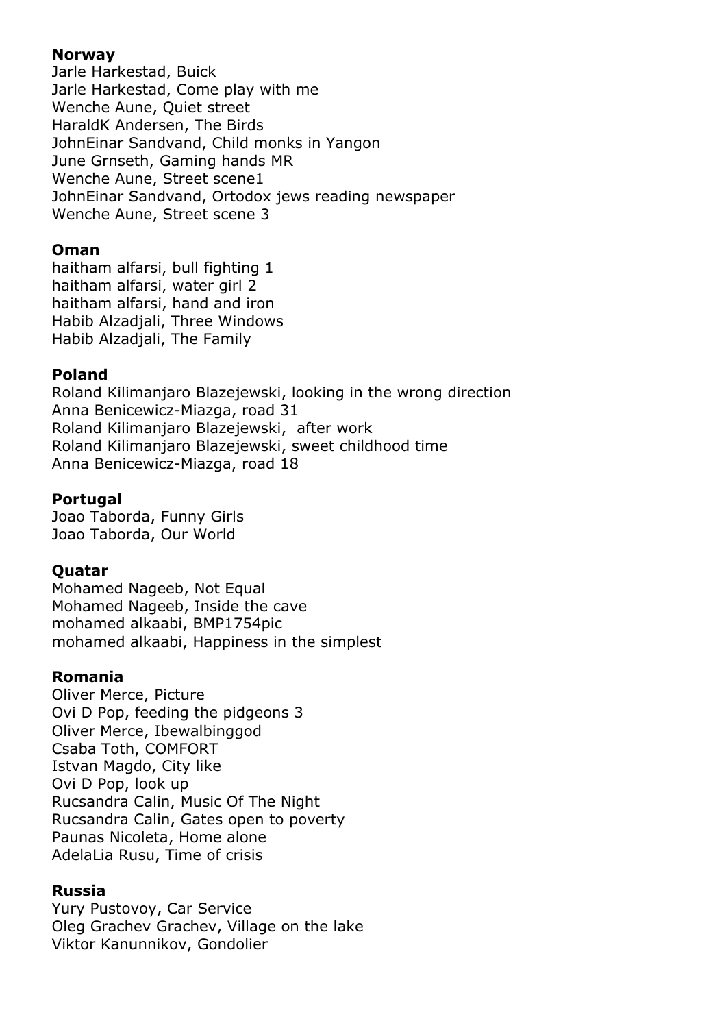# **Norway**

Jarle Harkestad, Buick Jarle Harkestad, Come play with me Wenche Aune, Quiet street HaraldK Andersen, The Birds JohnEinar Sandvand, Child monks in Yangon June Grnseth, Gaming hands MR Wenche Aune, Street scene1 JohnEinar Sandvand, Ortodox jews reading newspaper Wenche Aune, Street scene 3

## **Oman**

haitham alfarsi, bull fighting 1 haitham alfarsi, water girl 2 haitham alfarsi, hand and iron Habib Alzadjali, Three Windows Habib Alzadjali, The Family

# **Poland**

Roland Kilimanjaro Blazejewski, looking in the wrong direction Anna Benicewicz-Miazga, road 31 Roland Kilimanjaro Blazejewski, after work Roland Kilimanjaro Blazejewski, sweet childhood time Anna Benicewicz-Miazga, road 18

# **Portugal**

Joao Taborda, Funny Girls Joao Taborda, Our World

#### **Quatar**

Mohamed Nageeb, Not Equal Mohamed Nageeb, Inside the cave mohamed alkaabi, BMP1754pic mohamed alkaabi, Happiness in the simplest

# **Romania**

Oliver Merce, Picture Ovi D Pop, feeding the pidgeons 3 Oliver Merce, Ibewalbinggod Csaba Toth, COMFORT Istvan Magdo, City like Ovi D Pop, look up Rucsandra Calin, Music Of The Night Rucsandra Calin, Gates open to poverty Paunas Nicoleta, Home alone AdelaLia Rusu, Time of crisis

# **Russia**

Yury Pustovoy, Car Service Oleg Grachev Grachev, Village on the lake Viktor Kanunnikov, Gondolier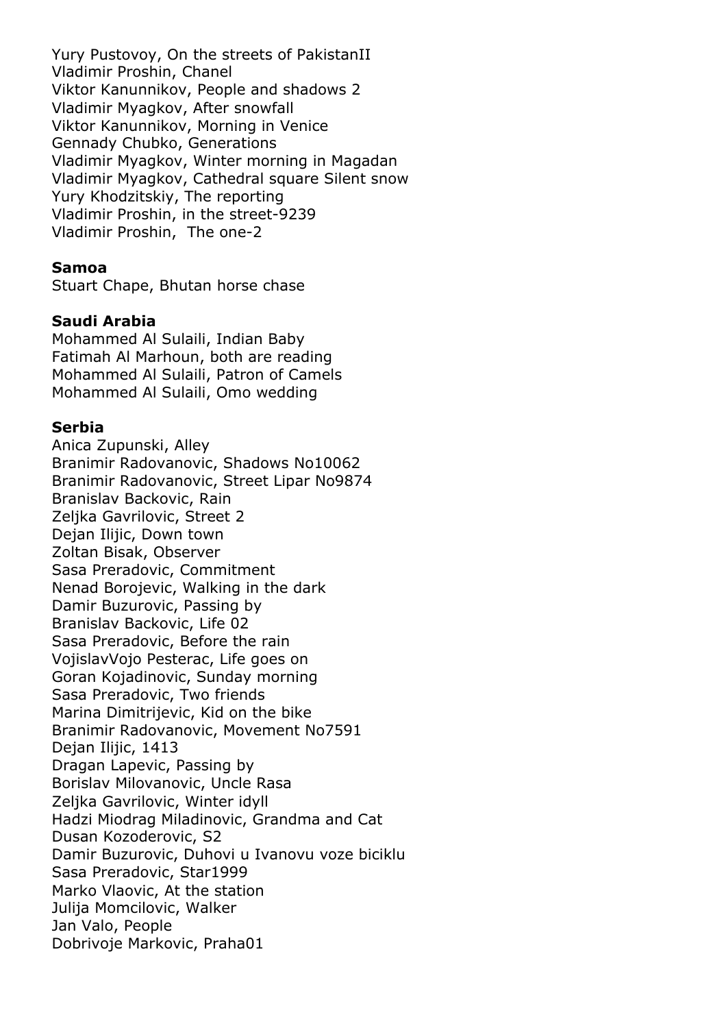Yury Pustovoy, On the streets of PakistanII Vladimir Proshin, Chanel Viktor Kanunnikov, People and shadows 2 Vladimir Myagkov, After snowfall Viktor Kanunnikov, Morning in Venice Gennady Chubko, Generations Vladimir Myagkov, Winter morning in Magadan Vladimir Myagkov, Cathedral square Silent snow Yury Khodzitskiy, The reporting Vladimir Proshin, in the street-9239 Vladimir Proshin, The one-2

#### **Samoa**

Stuart Chape, Bhutan horse chase

#### **Saudi Arabia**

Mohammed Al Sulaili, Indian Baby Fatimah Al Marhoun, both are reading Mohammed Al Sulaili, Patron of Camels Mohammed Al Sulaili, Omo wedding

#### **Serbia**

Anica Zupunski, Alley Branimir Radovanovic, Shadows No10062 Branimir Radovanovic, Street Lipar No9874 Branislav Backovic, Rain Zeljka Gavrilovic, Street 2 Dejan Ilijic, Down town Zoltan Bisak, Observer Sasa Preradovic, Commitment Nenad Borojevic, Walking in the dark Damir Buzurovic, Passing by Branislav Backovic, Life 02 Sasa Preradovic, Before the rain VojislavVojo Pesterac, Life goes on Goran Kojadinovic, Sunday morning Sasa Preradovic, Two friends Marina Dimitrijevic, Kid on the bike Branimir Radovanovic, Movement No7591 Dejan Ilijic, 1413 Dragan Lapevic, Passing by Borislav Milovanovic, Uncle Rasa Zeljka Gavrilovic, Winter idyll Hadzi Miodrag Miladinovic, Grandma and Cat Dusan Kozoderovic, S2 Damir Buzurovic, Duhovi u Ivanovu voze biciklu Sasa Preradovic, Star1999 Marko Vlaovic, At the station Julija Momcilovic, Walker Jan Valo, People Dobrivoje Markovic, Praha01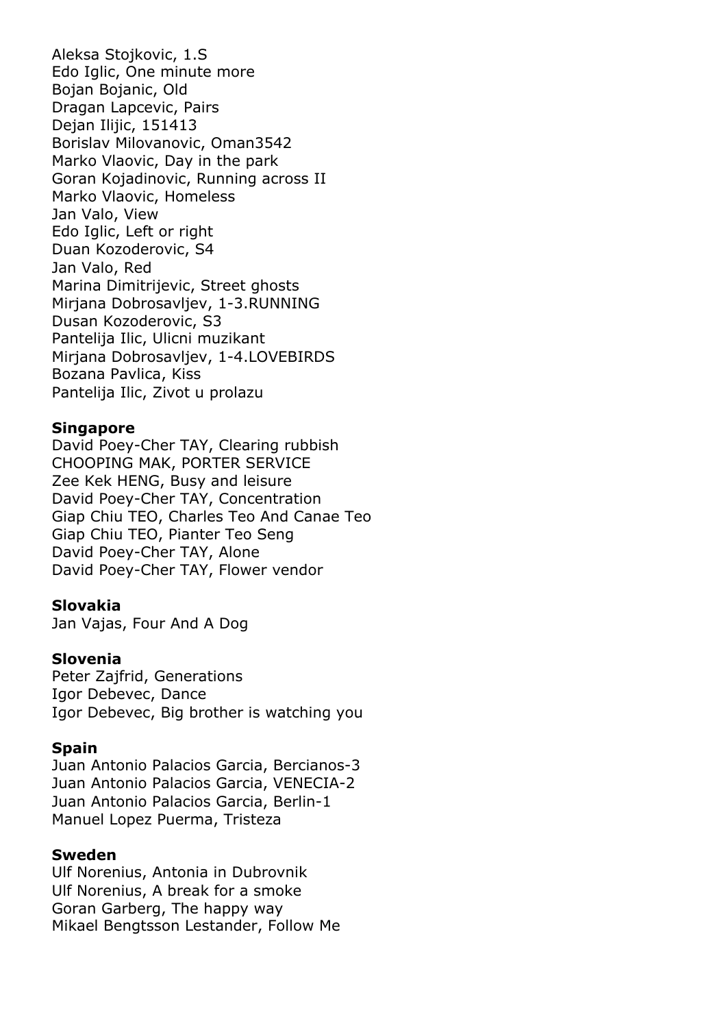Aleksa Stojkovic, 1.S Edo Iglic, One minute more Bojan Bojanic, Old Dragan Lapcevic, Pairs Dejan Ilijic, 151413 Borislav Milovanovic, Oman3542 Marko Vlaovic, Day in the park Goran Kojadinovic, Running across II Marko Vlaovic, Homeless Jan Valo, View Edo Iglic, Left or right Duan Kozoderovic, S4 Jan Valo, Red Marina Dimitrijevic, Street ghosts Mirjana Dobrosavljev, 1-3.RUNNING Dusan Kozoderovic, S3 Pantelija Ilic, Ulicni muzikant Mirjana Dobrosavljev, 1-4.LOVEBIRDS Bozana Pavlica, Kiss Pantelija Ilic, Zivot u prolazu

#### **Singapore**

David Poey-Cher TAY, Clearing rubbish CHOOPING MAK, PORTER SERVICE Zee Kek HENG, Busy and leisure David Poey-Cher TAY, Concentration Giap Chiu TEO, Charles Teo And Canae Teo Giap Chiu TEO, Pianter Teo Seng David Poey-Cher TAY, Alone David Poey-Cher TAY, Flower vendor

#### **Slovakia**

Jan Vajas, Four And A Dog

#### **Slovenia**

Peter Zajfrid, Generations Igor Debevec, Dance Igor Debevec, Big brother is watching you

#### **Spain**

Juan Antonio Palacios Garcia, Bercianos-3 Juan Antonio Palacios Garcia, VENECIA-2 Juan Antonio Palacios Garcia, Berlin-1 Manuel Lopez Puerma, Tristeza

#### **Sweden**

Ulf Norenius, Antonia in Dubrovnik Ulf Norenius, A break for a smoke Goran Garberg, The happy way Mikael Bengtsson Lestander, Follow Me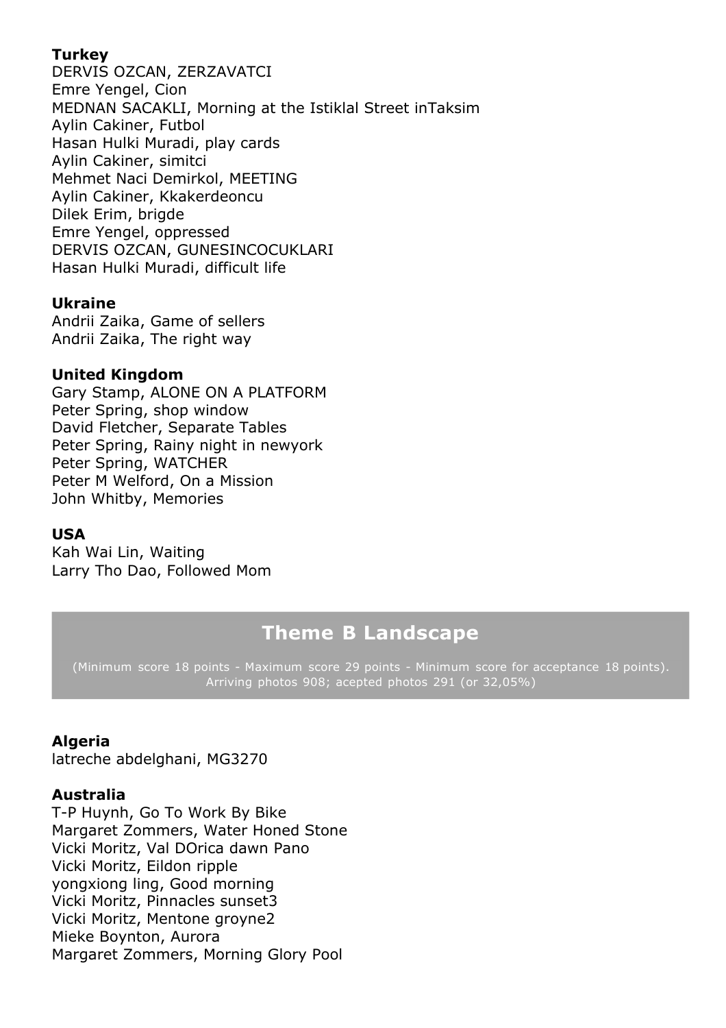# **Turkey**

DERVIS OZCAN, ZERZAVATCI Emre Yengel, Cion MEDNAN SACAKLI, Morning at the Istiklal Street inTaksim Aylin Cakiner, Futbol Hasan Hulki Muradi, play cards Aylin Cakiner, simitci Mehmet Naci Demirkol, MEETING Aylin Cakiner, Kkakerdeoncu Dilek Erim, brigde Emre Yengel, oppressed DERVIS OZCAN, GUNESINCOCUKLARI Hasan Hulki Muradi, difficult life

# **Ukraine**

Andrii Zaika, Game of sellers Andrii Zaika, The right way

# **United Kingdom**

Gary Stamp, ALONE ON A PLATFORM Peter Spring, shop window David Fletcher, Separate Tables Peter Spring, Rainy night in newyork Peter Spring, WATCHER Peter M Welford, On a Mission John Whitby, Memories

#### **USA**

Kah Wai Lin, Waiting Larry Tho Dao, Followed Mom

# **Theme B Landscape**

(Minimum score 18 points - Maximum score 29 points - Minimum score for acceptance 18 points). Arriving photos 908; acepted photos 291 (or 32,05%)

# **Algeria**

latreche abdelghani, MG3270

#### **Australia**

T-P Huynh, Go To Work By Bike Margaret Zommers, Water Honed Stone Vicki Moritz, Val DOrica dawn Pano Vicki Moritz, Eildon ripple yongxiong ling, Good morning Vicki Moritz, Pinnacles sunset3 Vicki Moritz, Mentone groyne2 Mieke Boynton, Aurora Margaret Zommers, Morning Glory Pool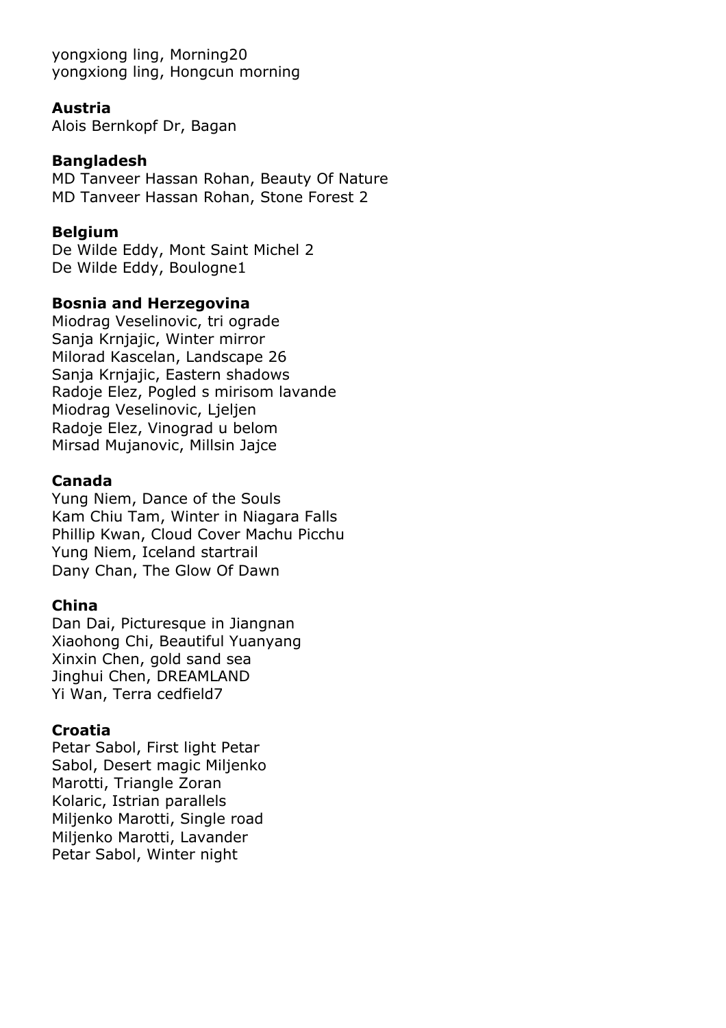yongxiong ling, Morning20 yongxiong ling, Hongcun morning

#### **Austria**

Alois Bernkopf Dr, Bagan

# **Bangladesh**

MD Tanveer Hassan Rohan, Beauty Of Nature MD Tanveer Hassan Rohan, Stone Forest 2

# **Belgium**

De Wilde Eddy, Mont Saint Michel 2 De Wilde Eddy, Boulogne1

# **Bosnia and Herzegovina**

Miodrag Veselinovic, tri ograde Sanja Krnjajic, Winter mirror Milorad Kascelan, Landscape 26 Sanja Krnjajic, Eastern shadows Radoje Elez, Pogled s mirisom lavande Miodrag Veselinovic, Ljeljen Radoje Elez, Vinograd u belom Mirsad Mujanovic, Millsin Jajce

# **Canada**

Yung Niem, Dance of the Souls Kam Chiu Tam, Winter in Niagara Falls Phillip Kwan, Cloud Cover Machu Picchu Yung Niem, Iceland startrail Dany Chan, The Glow Of Dawn

# **China**

Dan Dai, Picturesque in Jiangnan Xiaohong Chi, Beautiful Yuanyang Xinxin Chen, gold sand sea Jinghui Chen, DREAMLAND Yi Wan, Terra cedfield7

# **Croatia**

Petar Sabol, First light Petar Sabol, Desert magic Miljenko Marotti, Triangle Zoran Kolaric, Istrian parallels Miljenko Marotti, Single road Miljenko Marotti, Lavander Petar Sabol, Winter night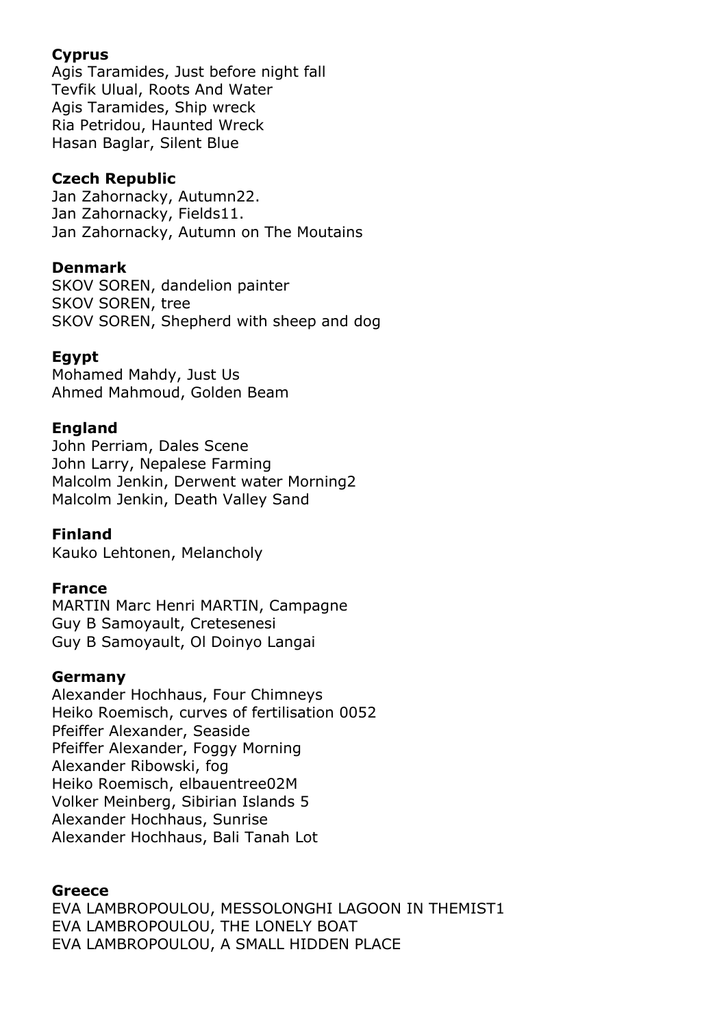# **Cyprus**

Agis Taramides, Just before night fall Tevfik Ulual, Roots And Water Agis Taramides, Ship wreck Ria Petridou, Haunted Wreck Hasan Baglar, Silent Blue

# **Czech Republic**

Jan Zahornacky, Autumn22. Jan Zahornacky, Fields11. Jan Zahornacky, Autumn on The Moutains

# **Denmark**

SKOV SOREN, dandelion painter SKOV SOREN, tree SKOV SOREN, Shepherd with sheep and dog

# **Egypt**

Mohamed Mahdy, Just Us Ahmed Mahmoud, Golden Beam

# **England**

John Perriam, Dales Scene John Larry, Nepalese Farming Malcolm Jenkin, Derwent water Morning2 Malcolm Jenkin, Death Valley Sand

# **Finland**

Kauko Lehtonen, Melancholy

# **France**

MARTIN Marc Henri MARTIN, Campagne Guy B Samoyault, Cretesenesi Guy B Samoyault, Ol Doinyo Langai

# **Germany**

Alexander Hochhaus, Four Chimneys Heiko Roemisch, curves of fertilisation 0052 Pfeiffer Alexander, Seaside Pfeiffer Alexander, Foggy Morning Alexander Ribowski, fog Heiko Roemisch, elbauentree02M Volker Meinberg, Sibirian Islands 5 Alexander Hochhaus, Sunrise Alexander Hochhaus, Bali Tanah Lot

# **Greece**

EVA LAMBROPOULOU, MESSOLONGHI LAGOON IN THEMIST1 EVA LAMBROPOULOU, THE LONELY BOAT EVA LAMBROPOULOU, A SMALL HIDDEN PLACE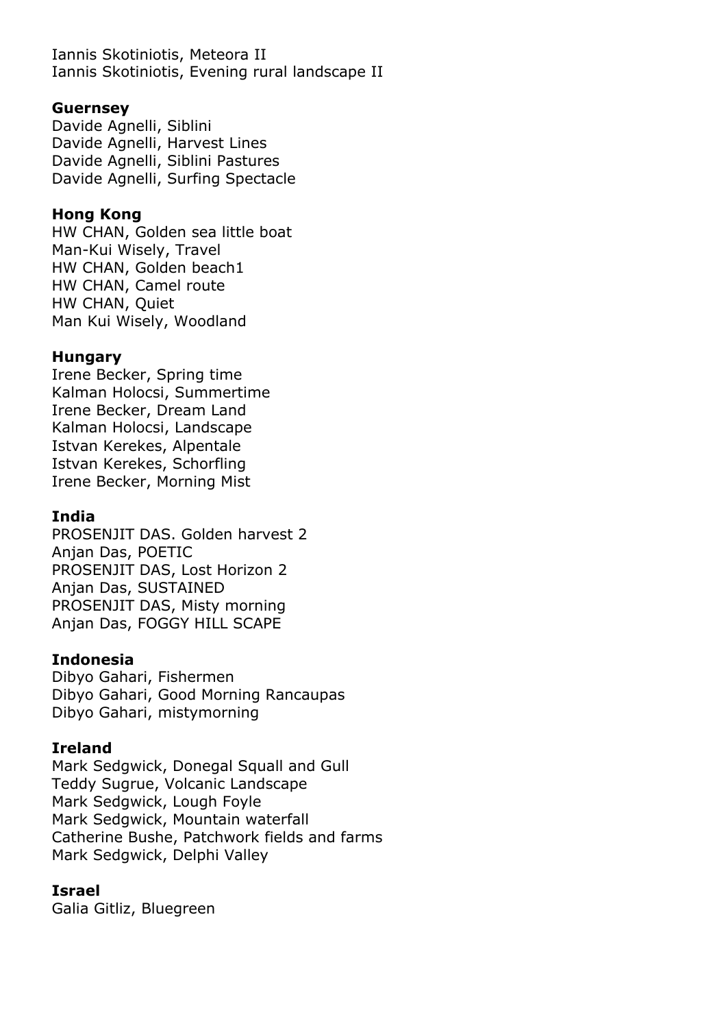Iannis Skotiniotis, Meteora II Iannis Skotiniotis, Evening rural landscape II

#### **Guernsey**

Davide Agnelli, Siblini Davide Agnelli, Harvest Lines Davide Agnelli, Siblini Pastures Davide Agnelli, Surfing Spectacle

#### **Hong Kong**

HW CHAN, Golden sea little boat Man-Kui Wisely, Travel HW CHAN, Golden beach1 HW CHAN, Camel route HW CHAN, Quiet Man Kui Wisely, Woodland

# **Hungary**

Irene Becker, Spring time Kalman Holocsi, Summertime Irene Becker, Dream Land Kalman Holocsi, Landscape Istvan Kerekes, Alpentale Istvan Kerekes, Schorfling Irene Becker, Morning Mist

# **India**

PROSENJIT DAS. Golden harvest 2 Anjan Das, POETIC PROSENJIT DAS, Lost Horizon 2 Anjan Das, SUSTAINED PROSENJIT DAS, Misty morning Anjan Das, FOGGY HILL SCAPE

#### **Indonesia**

Dibyo Gahari, Fishermen Dibyo Gahari, Good Morning Rancaupas Dibyo Gahari, mistymorning

# **Ireland**

Mark Sedgwick, Donegal Squall and Gull Teddy Sugrue, Volcanic Landscape Mark Sedgwick, Lough Foyle Mark Sedgwick, Mountain waterfall Catherine Bushe, Patchwork fields and farms Mark Sedgwick, Delphi Valley

# **Israel**

Galia Gitliz, Bluegreen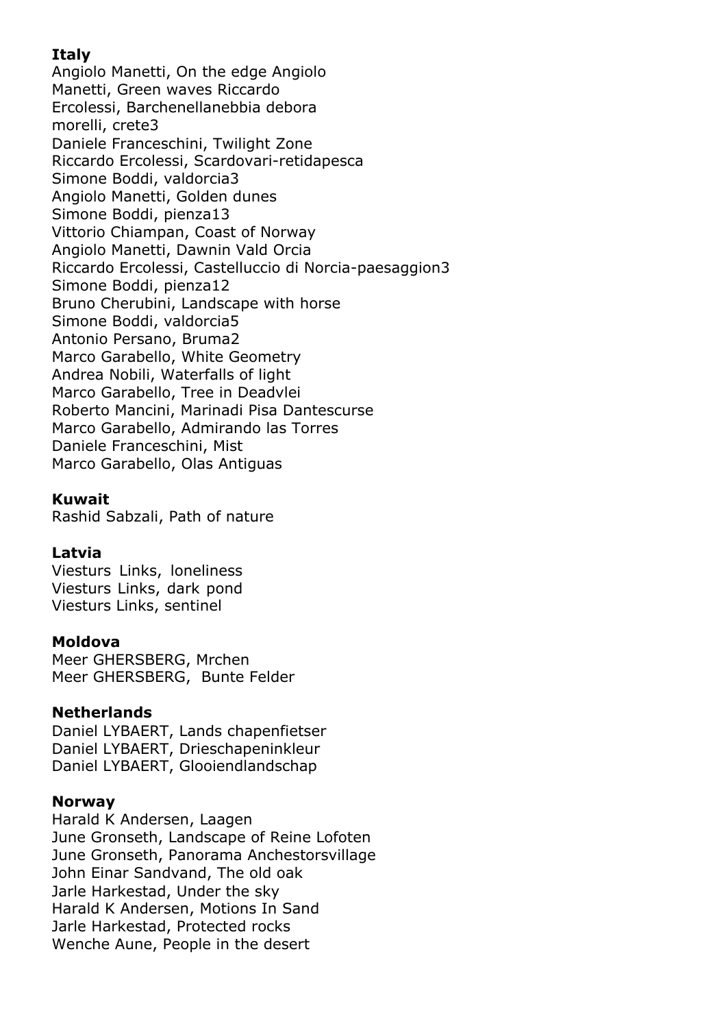# **Italy**

Angiolo Manetti, On the edge Angiolo Manetti, Green waves Riccardo Ercolessi, Barchenellanebbia debora morelli, crete3 Daniele Franceschini, Twilight Zone Riccardo Ercolessi, Scardovari-retidapesca Simone Boddi, valdorcia3 Angiolo Manetti, Golden dunes Simone Boddi, pienza13 Vittorio Chiampan, Coast of Norway Angiolo Manetti, Dawnin Vald Orcia Riccardo Ercolessi, Castelluccio di Norcia-paesaggion3 Simone Boddi, pienza12 Bruno Cherubini, Landscape with horse Simone Boddi, valdorcia5 Antonio Persano, Bruma2 Marco Garabello, White Geometry Andrea Nobili, Waterfalls of light Marco Garabello, Tree in Deadvlei Roberto Mancini, Marinadi Pisa Dantescurse Marco Garabello, Admirando las Torres Daniele Franceschini, Mist Marco Garabello, Olas Antiguas

# **Kuwait**

Rashid Sabzali, Path of nature

# **Latvia**

Viesturs Links, loneliness Viesturs Links, dark pond Viesturs Links, sentinel

#### **Moldova**

Meer GHERSBERG, Mrchen Meer GHERSBERG, Bunte Felder

#### **Netherlands**

Daniel LYBAERT, Lands chapenfietser Daniel LYBAERT, Drieschapeninkleur Daniel LYBAERT, Glooiendlandschap

#### **Norway**

Harald K Andersen, Laagen June Gronseth, Landscape of Reine Lofoten June Gronseth, Panorama Anchestorsvillage John Einar Sandvand, The old oak Jarle Harkestad, Under the sky Harald K Andersen, Motions In Sand Jarle Harkestad, Protected rocks Wenche Aune, People in the desert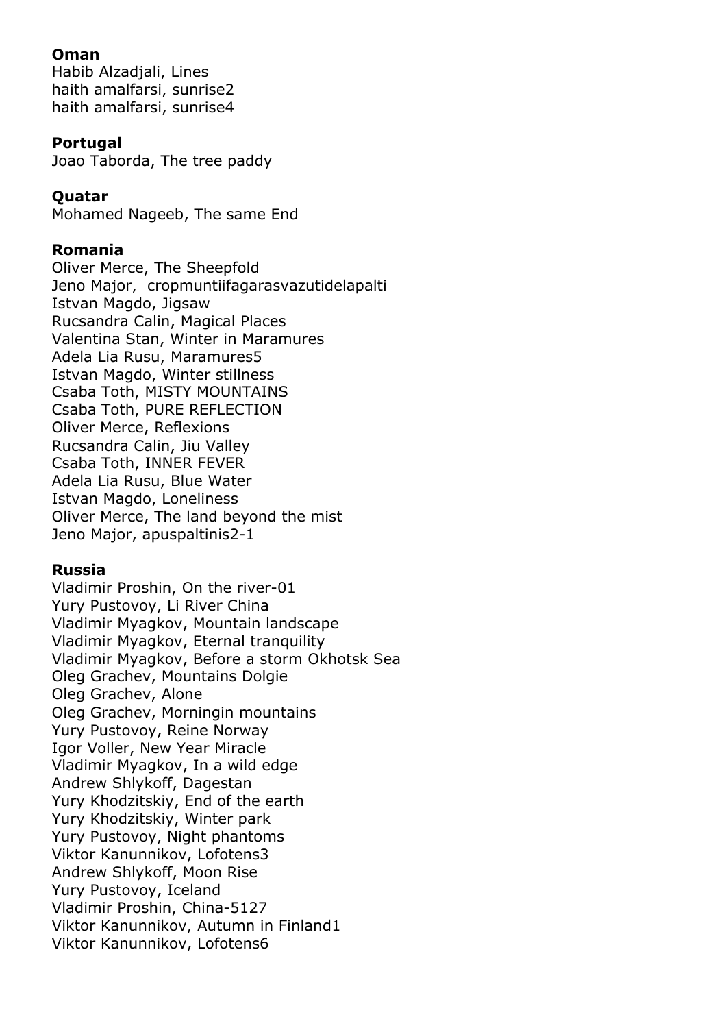#### **Oman**

Habib Alzadjali, Lines haith amalfarsi, sunrise2 haith amalfarsi, sunrise4

#### **Portugal**

Joao Taborda, The tree paddy

#### **Quatar**

Mohamed Nageeb, The same End

#### **Romania**

Oliver Merce, The Sheepfold Jeno Major, cropmuntiifagarasvazutidelapalti Istvan Magdo, Jigsaw Rucsandra Calin, Magical Places Valentina Stan, Winter in Maramures Adela Lia Rusu, Maramures5 Istvan Magdo, Winter stillness Csaba Toth, MISTY MOUNTAINS Csaba Toth, PURE REFLECTION Oliver Merce, Reflexions Rucsandra Calin, Jiu Valley Csaba Toth, INNER FEVER Adela Lia Rusu, Blue Water Istvan Magdo, Loneliness Oliver Merce, The land beyond the mist Jeno Major, apuspaltinis2-1

#### **Russia**

Vladimir Proshin, On the river-01 Yury Pustovoy, Li River China Vladimir Myagkov, Mountain landscape Vladimir Myagkov, Eternal tranquility Vladimir Myagkov, Before a storm Okhotsk Sea Oleg Grachev, Mountains Dolgie Oleg Grachev, Alone Oleg Grachev, Morningin mountains Yury Pustovoy, Reine Norway Igor Voller, New Year Miracle Vladimir Myagkov, In a wild edge Andrew Shlykoff, Dagestan Yury Khodzitskiy, End of the earth Yury Khodzitskiy, Winter park Yury Pustovoy, Night phantoms Viktor Kanunnikov, Lofotens3 Andrew Shlykoff, Moon Rise Yury Pustovoy, Iceland Vladimir Proshin, China-5127 Viktor Kanunnikov, Autumn in Finland1 Viktor Kanunnikov, Lofotens6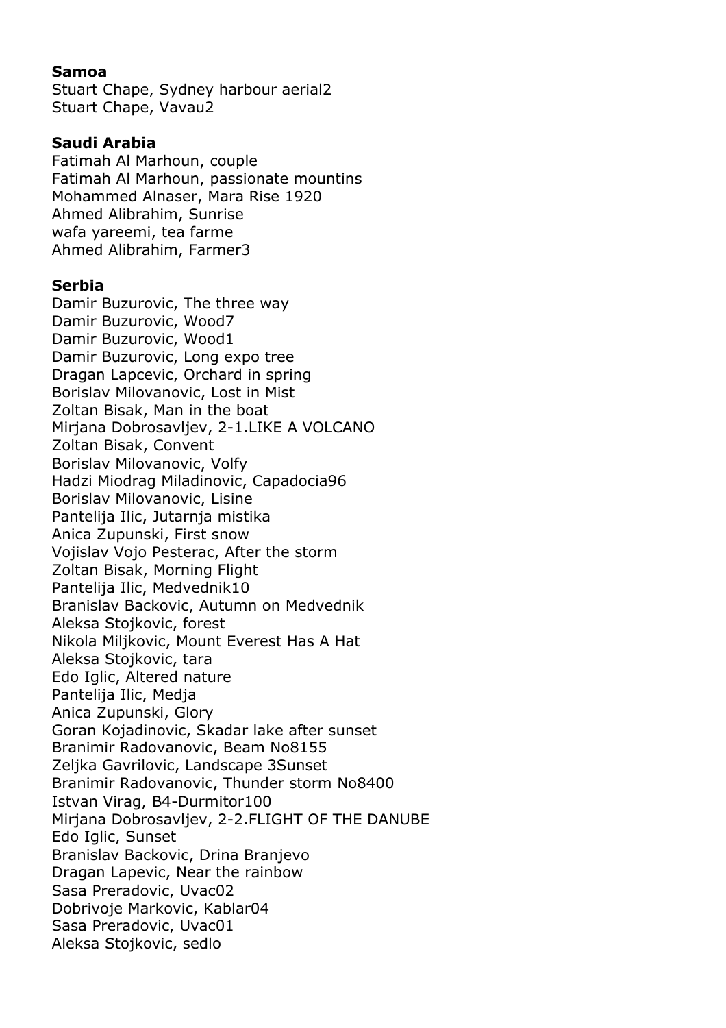#### **Samoa**

Stuart Chape, Sydney harbour aerial2 Stuart Chape, Vavau2

#### **Saudi Arabia**

Fatimah Al Marhoun, couple Fatimah Al Marhoun, passionate mountins Mohammed Alnaser, Mara Rise 1920 Ahmed Alibrahim, Sunrise wafa yareemi, tea farme Ahmed Alibrahim, Farmer3

#### **Serbia**

Damir Buzurovic, The three way Damir Buzurovic, Wood7 Damir Buzurovic, Wood1 Damir Buzurovic, Long expo tree Dragan Lapcevic, Orchard in spring Borislav Milovanovic, Lost in Mist Zoltan Bisak, Man in the boat Mirjana Dobrosavljev, 2-1.LIKE A VOLCANO Zoltan Bisak, Convent Borislav Milovanovic, Volfy Hadzi Miodrag Miladinovic, Capadocia96 Borislav Milovanovic, Lisine Pantelija Ilic, Jutarnja mistika Anica Zupunski, First snow Vojislav Vojo Pesterac, After the storm Zoltan Bisak, Morning Flight Pantelija Ilic, Medvednik10 Branislav Backovic, Autumn on Medvednik Aleksa Stojkovic, forest Nikola Miljkovic, Mount Everest Has A Hat Aleksa Stojkovic, tara Edo Iglic, Altered nature Pantelija Ilic, Medja Anica Zupunski, Glory Goran Kojadinovic, Skadar lake after sunset Branimir Radovanovic, Beam No8155 Zeljka Gavrilovic, Landscape 3Sunset Branimir Radovanovic, Thunder storm No8400 Istvan Virag, B4-Durmitor100 Mirjana Dobrosavljev, 2-2.FLIGHT OF THE DANUBE Edo Iglic, Sunset Branislav Backovic, Drina Branjevo Dragan Lapevic, Near the rainbow Sasa Preradovic, Uvac02 Dobrivoje Markovic, Kablar04 Sasa Preradovic, Uvac01 Aleksa Stojkovic, sedlo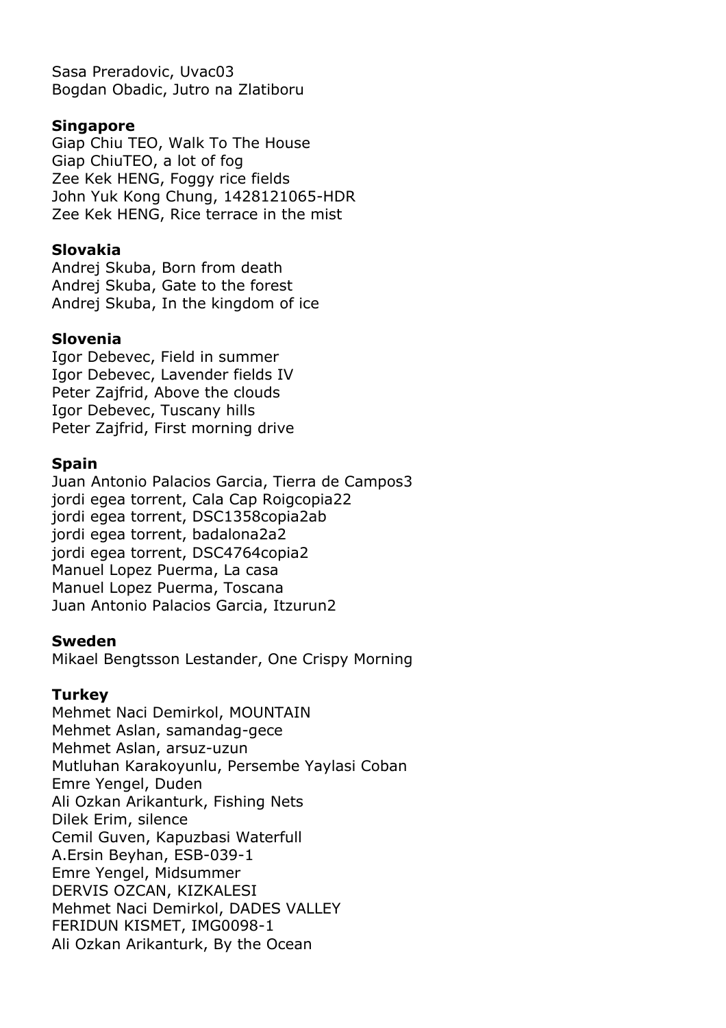Sasa Preradovic, Uvac03 Bogdan Obadic, Jutro na Zlatiboru

#### **Singapore**

Giap Chiu TEO, Walk To The House Giap ChiuTEO, a lot of fog Zee Kek HENG, Foggy rice fields John Yuk Kong Chung, 1428121065-HDR Zee Kek HENG, Rice terrace in the mist

# **Slovakia**

Andrej Skuba, Born from death Andrej Skuba, Gate to the forest Andrej Skuba, In the kingdom of ice

# **Slovenia**

Igor Debevec, Field in summer Igor Debevec, Lavender fields IV Peter Zajfrid, Above the clouds Igor Debevec, Tuscany hills Peter Zajfrid, First morning drive

# **Spain**

Juan Antonio Palacios Garcia, Tierra de Campos3 jordi egea torrent, Cala Cap Roigcopia22 jordi egea torrent, DSC1358copia2ab jordi egea torrent, badalona2a2 jordi egea torrent, DSC4764copia2 Manuel Lopez Puerma, La casa Manuel Lopez Puerma, Toscana Juan Antonio Palacios Garcia, Itzurun2

#### **Sweden**

Mikael Bengtsson Lestander, One Crispy Morning

#### **Turkey**

Mehmet Naci Demirkol, MOUNTAIN Mehmet Aslan, samandag-gece Mehmet Aslan, arsuz-uzun Mutluhan Karakoyunlu, Persembe Yaylasi Coban Emre Yengel, Duden Ali Ozkan Arikanturk, Fishing Nets Dilek Erim, silence Cemil Guven, Kapuzbasi Waterfull A.Ersin Beyhan, ESB-039-1 Emre Yengel, Midsummer DERVIS OZCAN, KIZKALESI Mehmet Naci Demirkol, DADES VALLEY FERIDUN KISMET, IMG0098-1 Ali Ozkan Arikanturk, By the Ocean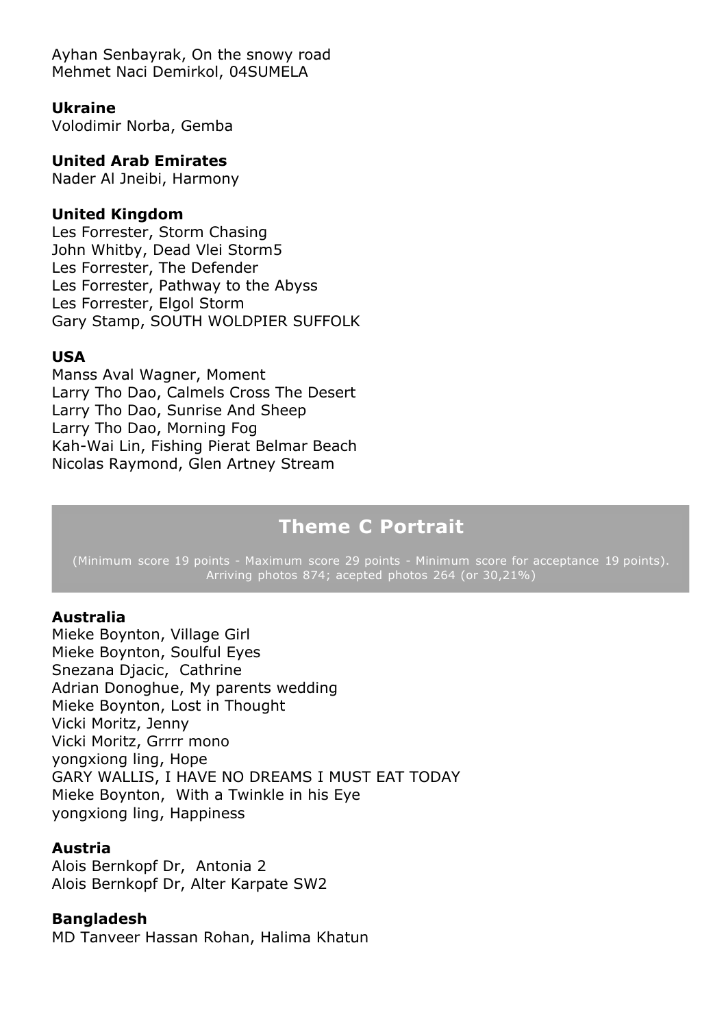Ayhan Senbayrak, On the snowy road Mehmet Naci Demirkol, 04SUMELA

#### **Ukraine**

Volodimir Norba, Gemba

#### **United Arab Emirates**

Nader Al Jneibi, Harmony

#### **United Kingdom**

Les Forrester, Storm Chasing John Whitby, Dead Vlei Storm5 Les Forrester, The Defender Les Forrester, Pathway to the Abyss Les Forrester, Elgol Storm Gary Stamp, SOUTH WOLDPIER SUFFOLK

#### **USA**

Manss Aval Wagner, Moment Larry Tho Dao, Calmels Cross The Desert Larry Tho Dao, Sunrise And Sheep Larry Tho Dao, Morning Fog Kah-Wai Lin, Fishing Pierat Belmar Beach Nicolas Raymond, Glen Artney Stream

# **Theme C Portrait**

(Minimum score 19 points - Maximum score 29 points - Minimum score for acceptance 19 points). Arriving photos 874; acepted photos 264 (or 30,21%)

#### **Australia**

Mieke Boynton, Village Girl Mieke Boynton, Soulful Eyes Snezana Djacic, Cathrine Adrian Donoghue, My parents wedding Mieke Boynton, Lost in Thought Vicki Moritz, Jenny Vicki Moritz, Grrrr mono yongxiong ling, Hope GARY WALLIS, I HAVE NO DREAMS I MUST EAT TODAY Mieke Boynton, With a Twinkle in his Eye yongxiong ling, Happiness

#### **Austria**

Alois Bernkopf Dr, Antonia 2 Alois Bernkopf Dr, Alter Karpate SW2

#### **Bangladesh**

MD Tanveer Hassan Rohan, Halima Khatun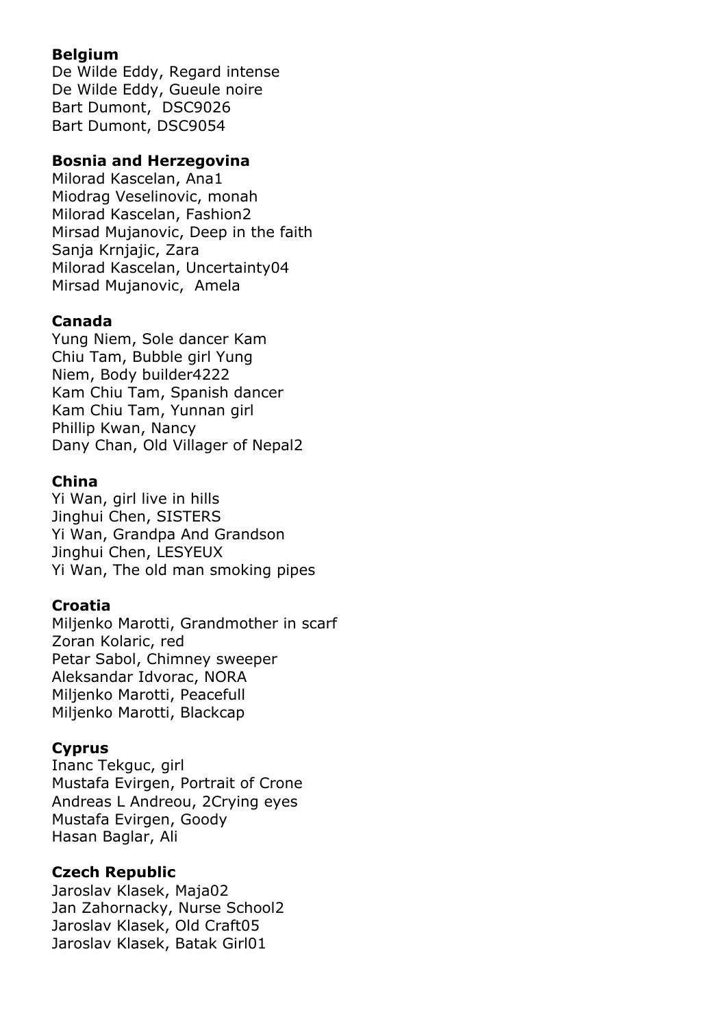# **Belgium**

De Wilde Eddy, Regard intense De Wilde Eddy, Gueule noire Bart Dumont, DSC9026 Bart Dumont, DSC9054

#### **Bosnia and Herzegovina**

Milorad Kascelan, Ana1 Miodrag Veselinovic, monah Milorad Kascelan, Fashion2 Mirsad Mujanovic, Deep in the faith Sanja Krnjajic, Zara Milorad Kascelan, Uncertainty04 Mirsad Mujanovic, Amela

# **Canada**

Yung Niem, Sole dancer Kam Chiu Tam, Bubble girl Yung Niem, Body builder4222 Kam Chiu Tam, Spanish dancer Kam Chiu Tam, Yunnan girl Phillip Kwan, Nancy Dany Chan, Old Villager of Nepal2

# **China**

Yi Wan, girl live in hills Jinghui Chen, SISTERS Yi Wan, Grandpa And Grandson Jinghui Chen, LESYEUX Yi Wan, The old man smoking pipes

# **Croatia**

Miljenko Marotti, Grandmother in scarf Zoran Kolaric, red Petar Sabol, Chimney sweeper Aleksandar Idvorac, NORA Miljenko Marotti, Peacefull Miljenko Marotti, Blackcap

# **Cyprus**

Inanc Tekguc, girl Mustafa Evirgen, Portrait of Crone Andreas L Andreou, 2Crying eyes Mustafa Evirgen, Goody Hasan Baglar, Ali

# **Czech Republic**

Jaroslav Klasek, Maja02 Jan Zahornacky, Nurse School2 Jaroslav Klasek, Old Craft05 Jaroslav Klasek, Batak Girl01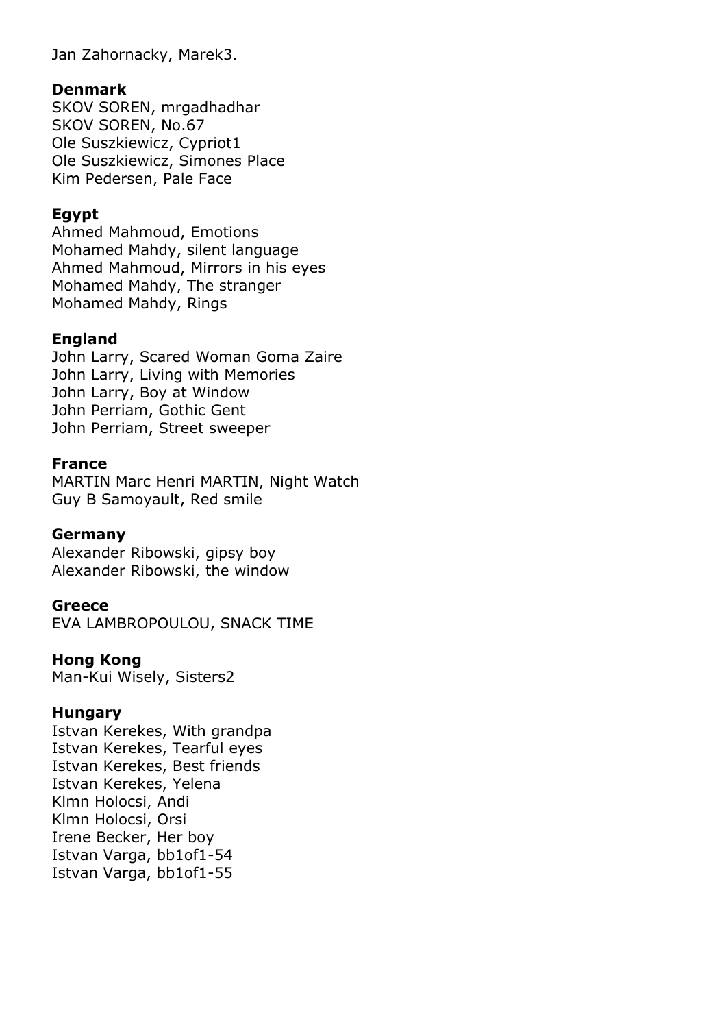Jan Zahornacky, Marek3.

#### **Denmark**

SKOV SOREN, mrgadhadhar SKOV SOREN, No.67 Ole Suszkiewicz, Cypriot1 Ole Suszkiewicz, Simones Place Kim Pedersen, Pale Face

# **Egypt**

Ahmed Mahmoud, Emotions Mohamed Mahdy, silent language Ahmed Mahmoud, Mirrors in his eyes Mohamed Mahdy, The stranger Mohamed Mahdy, Rings

#### **England**

John Larry, Scared Woman Goma Zaire John Larry, Living with Memories John Larry, Boy at Window John Perriam, Gothic Gent John Perriam, Street sweeper

#### **France**

MARTIN Marc Henri MARTIN, Night Watch Guy B Samoyault, Red smile

#### **Germany**

Alexander Ribowski, gipsy boy Alexander Ribowski, the window

#### **Greece**

EVA LAMBROPOULOU, SNACK TIME

#### **Hong Kong**

Man-Kui Wisely, Sisters2

#### **Hungary**

Istvan Kerekes, With grandpa Istvan Kerekes, Tearful eyes Istvan Kerekes, Best friends Istvan Kerekes, Yelena Klmn Holocsi, Andi Klmn Holocsi, Orsi Irene Becker, Her boy Istvan Varga, bb1of1-54 Istvan Varga, bb1of1-55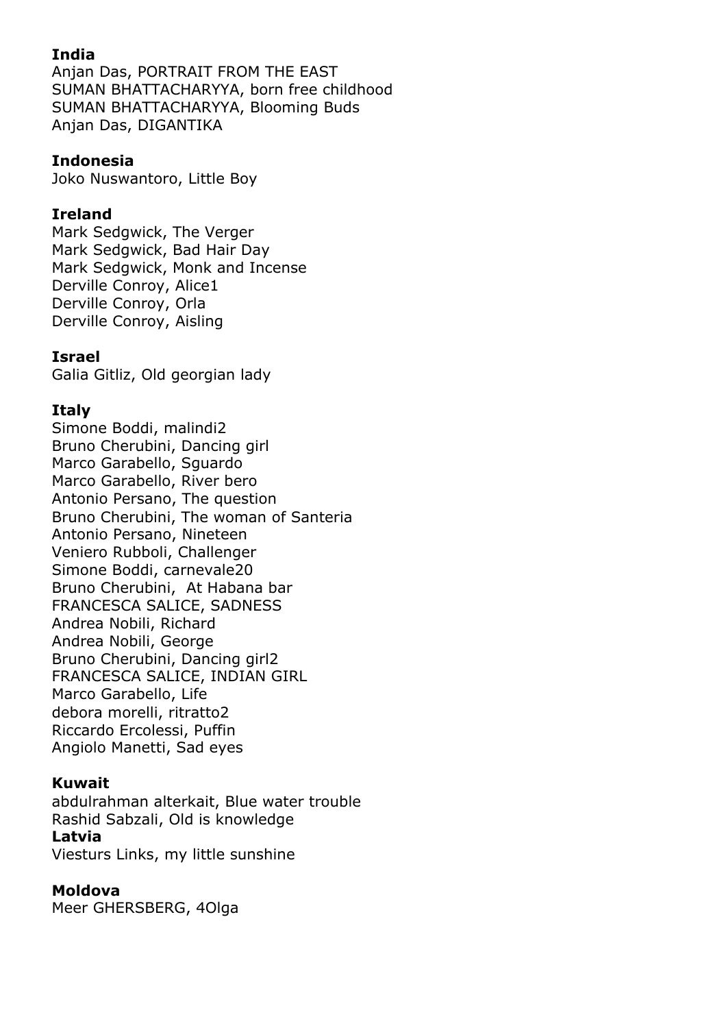# **India**

Anjan Das, PORTRAIT FROM THE EAST SUMAN BHATTACHARYYA, born free childhood SUMAN BHATTACHARYYA, Blooming Buds Anjan Das, DIGANTIKA

# **Indonesia**

Joko Nuswantoro, Little Boy

# **Ireland**

Mark Sedgwick, The Verger Mark Sedgwick, Bad Hair Day Mark Sedgwick, Monk and Incense Derville Conroy, Alice1 Derville Conroy, Orla Derville Conroy, Aisling

# **Israel**

Galia Gitliz, Old georgian lady

# **Italy**

Simone Boddi, malindi2 Bruno Cherubini, Dancing girl Marco Garabello, Sguardo Marco Garabello, River bero Antonio Persano, The question Bruno Cherubini, The woman of Santeria Antonio Persano, Nineteen Veniero Rubboli, Challenger Simone Boddi, carnevale20 Bruno Cherubini, At Habana bar FRANCESCA SALICE, SADNESS Andrea Nobili, Richard Andrea Nobili, George Bruno Cherubini, Dancing girl2 FRANCESCA SALICE, INDIAN GIRL Marco Garabello, Life debora morelli, ritratto2 Riccardo Ercolessi, Puffin Angiolo Manetti, Sad eyes

# **Kuwait**

abdulrahman alterkait, Blue water trouble Rashid Sabzali, Old is knowledge **Latvia** Viesturs Links, my little sunshine

# **Moldova**

Meer GHERSBERG, 4Olga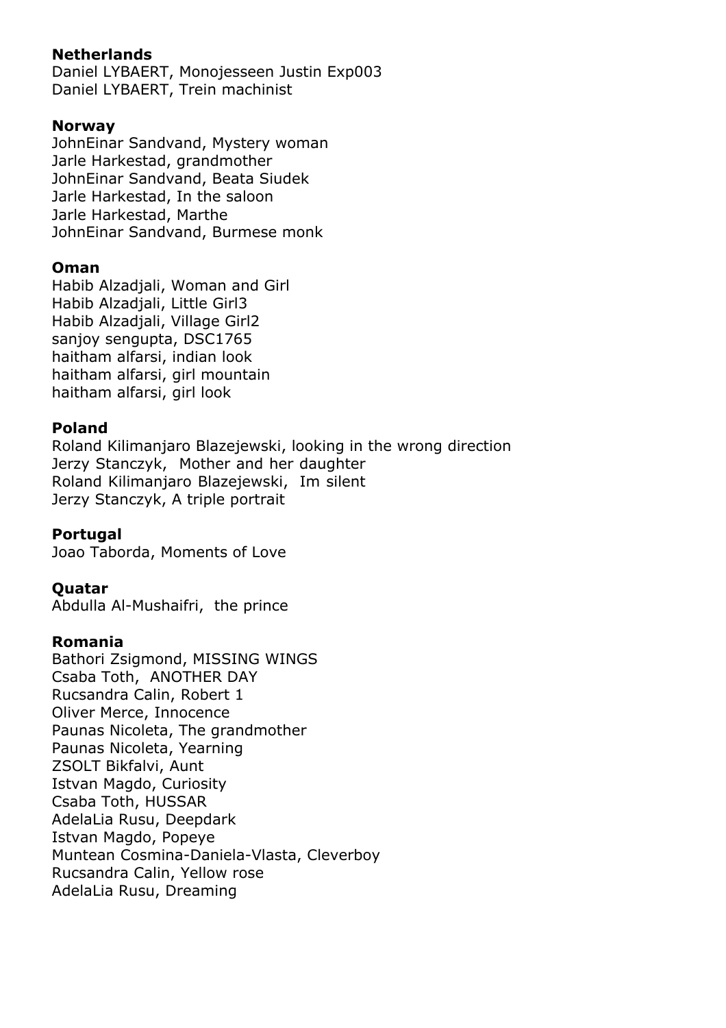# **Netherlands**

Daniel LYBAERT, Monojesseen Justin Exp003 Daniel LYBAERT, Trein machinist

## **Norway**

JohnEinar Sandvand, Mystery woman Jarle Harkestad, grandmother JohnEinar Sandvand, Beata Siudek Jarle Harkestad, In the saloon Jarle Harkestad, Marthe JohnEinar Sandvand, Burmese monk

# **Oman**

Habib Alzadjali, Woman and Girl Habib Alzadjali, Little Girl3 Habib Alzadjali, Village Girl2 sanjoy sengupta, DSC1765 haitham alfarsi, indian look haitham alfarsi, girl mountain haitham alfarsi, girl look

# **Poland**

Roland Kilimanjaro Blazejewski, looking in the wrong direction Jerzy Stanczyk, Mother and her daughter Roland Kilimanjaro Blazejewski, Im silent Jerzy Stanczyk, A triple portrait

#### **Portugal**

Joao Taborda, Moments of Love

#### **Quatar**

Abdulla Al-Mushaifri, the prince

#### **Romania**

Bathori Zsigmond, MISSING WINGS Csaba Toth, ANOTHER DAY Rucsandra Calin, Robert 1 Oliver Merce, Innocence Paunas Nicoleta, The grandmother Paunas Nicoleta, Yearning ZSOLT Bikfalvi, Aunt Istvan Magdo, Curiosity Csaba Toth, HUSSAR AdelaLia Rusu, Deepdark Istvan Magdo, Popeye Muntean Cosmina-Daniela-Vlasta, Cleverboy Rucsandra Calin, Yellow rose AdelaLia Rusu, Dreaming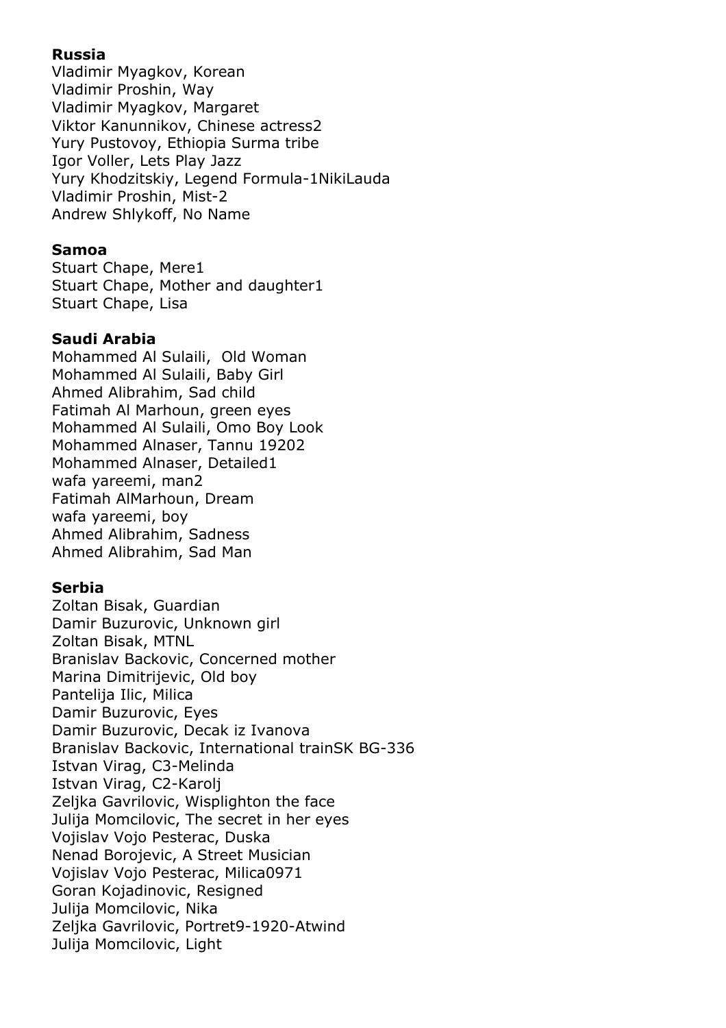# **Russia**

Vladimir Myagkov, Korean Vladimir Proshin, Way Vladimir Myagkov, Margaret Viktor Kanunnikov, Chinese actress2 Yury Pustovoy, Ethiopia Surma tribe Igor Voller, Lets Play Jazz Yury Khodzitskiy, Legend Formula-1NikiLauda Vladimir Proshin, Mist-2 Andrew Shlykoff, No Name

## **Samoa**

Stuart Chape, Mere1 Stuart Chape, Mother and daughter1 Stuart Chape, Lisa

# **Saudi Arabia**

Mohammed Al Sulaili, Old Woman Mohammed Al Sulaili, Baby Girl Ahmed Alibrahim, Sad child Fatimah Al Marhoun, green eyes Mohammed Al Sulaili, Omo Boy Look Mohammed Alnaser, Tannu 19202 Mohammed Alnaser, Detailed1 wafa yareemi, man2 Fatimah AlMarhoun, Dream wafa yareemi, boy Ahmed Alibrahim, Sadness Ahmed Alibrahim, Sad Man

#### **Serbia**

Zoltan Bisak, Guardian Damir Buzurovic, Unknown girl Zoltan Bisak, MTNL Branislav Backovic, Concerned mother Marina Dimitrijevic, Old boy Pantelija Ilic, Milica Damir Buzurovic, Eyes Damir Buzurovic, Decak iz Ivanova Branislav Backovic, International trainSK BG-336 Istvan Virag, C3-Melinda Istvan Virag, C2-Karolj Zeljka Gavrilovic, Wisplighton the face Julija Momcilovic, The secret in her eyes Vojislav Vojo Pesterac, Duska Nenad Borojevic, A Street Musician Vojislav Vojo Pesterac, Milica0971 Goran Kojadinovic, Resigned Julija Momcilovic, Nika Zeljka Gavrilovic, Portret9-1920-Atwind Julija Momcilovic, Light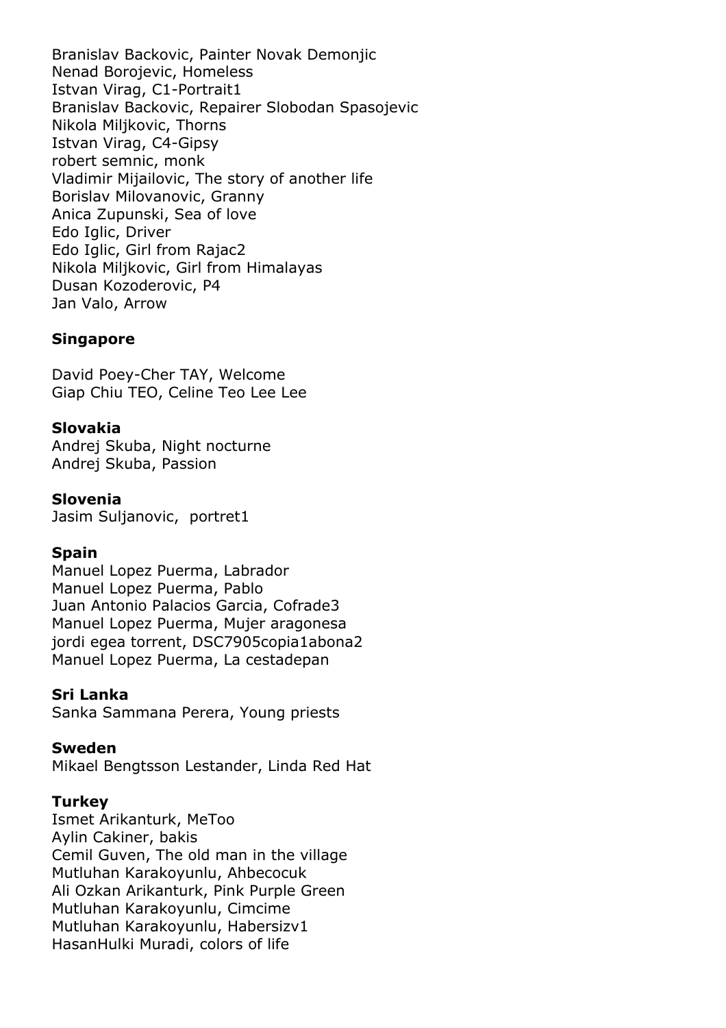Branislav Backovic, Painter Novak Demonjic Nenad Borojevic, Homeless Istvan Virag, C1-Portrait1 Branislav Backovic, Repairer Slobodan Spasojevic Nikola Miljkovic, Thorns Istvan Virag, C4-Gipsy robert semnic, monk Vladimir Mijailovic, The story of another life Borislav Milovanovic, Granny Anica Zupunski, Sea of love Edo Iglic, Driver Edo Iglic, Girl from Rajac2 Nikola Miljkovic, Girl from Himalayas Dusan Kozoderovic, P4 Jan Valo, Arrow

# **Singapore**

David Poey-Cher TAY, Welcome Giap Chiu TEO, Celine Teo Lee Lee

# **Slovakia**

Andrej Skuba, Night nocturne Andrej Skuba, Passion

#### **Slovenia**

Jasim Sulianovic, portret1

#### **Spain**

Manuel Lopez Puerma, Labrador Manuel Lopez Puerma, Pablo Juan Antonio Palacios Garcia, Cofrade3 Manuel Lopez Puerma, Mujer aragonesa jordi egea torrent, DSC7905copia1abona2 Manuel Lopez Puerma, La cestadepan

#### **Sri Lanka**

Sanka Sammana Perera, Young priests

#### **Sweden**

Mikael Bengtsson Lestander, Linda Red Hat

#### **Turkey**

Ismet Arikanturk, MeToo Aylin Cakiner, bakis Cemil Guven, The old man in the village Mutluhan Karakoyunlu, Ahbecocuk Ali Ozkan Arikanturk, Pink Purple Green Mutluhan Karakoyunlu, Cimcime Mutluhan Karakoyunlu, Habersizv1 HasanHulki Muradi, colors of life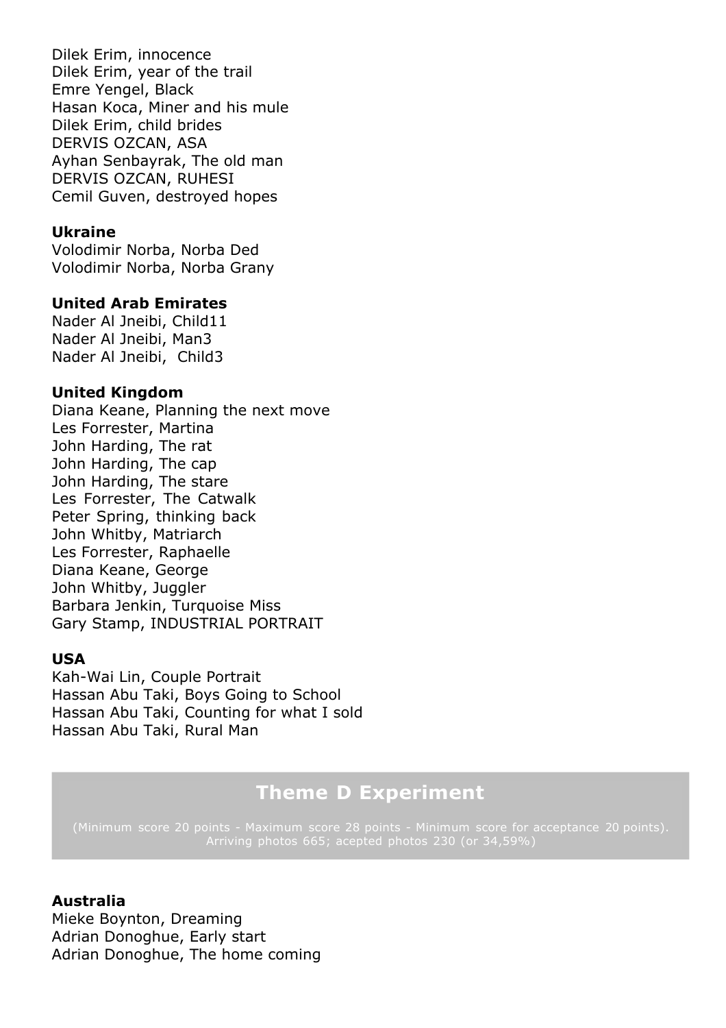Dilek Erim, innocence Dilek Erim, year of the trail Emre Yengel, Black Hasan Koca, Miner and his mule Dilek Erim, child brides DERVIS OZCAN, ASA Ayhan Senbayrak, The old man DERVIS OZCAN, RUHESI Cemil Guven, destroyed hopes

#### **Ukraine**

Volodimir Norba, Norba Ded Volodimir Norba, Norba Grany

#### **United Arab Emirates**

Nader Al Jneibi, Child11 Nader Al Jneibi, Man3 Nader Al Jneibi, Child3

#### **United Kingdom**

Diana Keane, Planning the next move Les Forrester, Martina John Harding, The rat John Harding, The cap John Harding, The stare Les Forrester, The Catwalk Peter Spring, thinking back John Whitby, Matriarch Les Forrester, Raphaelle Diana Keane, George John Whitby, Juggler Barbara Jenkin, Turquoise Miss Gary Stamp, INDUSTRIAL PORTRAIT

#### **USA**

Kah-Wai Lin, Couple Portrait Hassan Abu Taki, Boys Going to School Hassan Abu Taki, Counting for what I sold Hassan Abu Taki, Rural Man

# **Theme D Experiment**

(Minimum score 20 points - Maximum score 28 points - Minimum score for acceptance 20 points).

#### **Australia**

Mieke Boynton, Dreaming Adrian Donoghue, Early start Adrian Donoghue, The home coming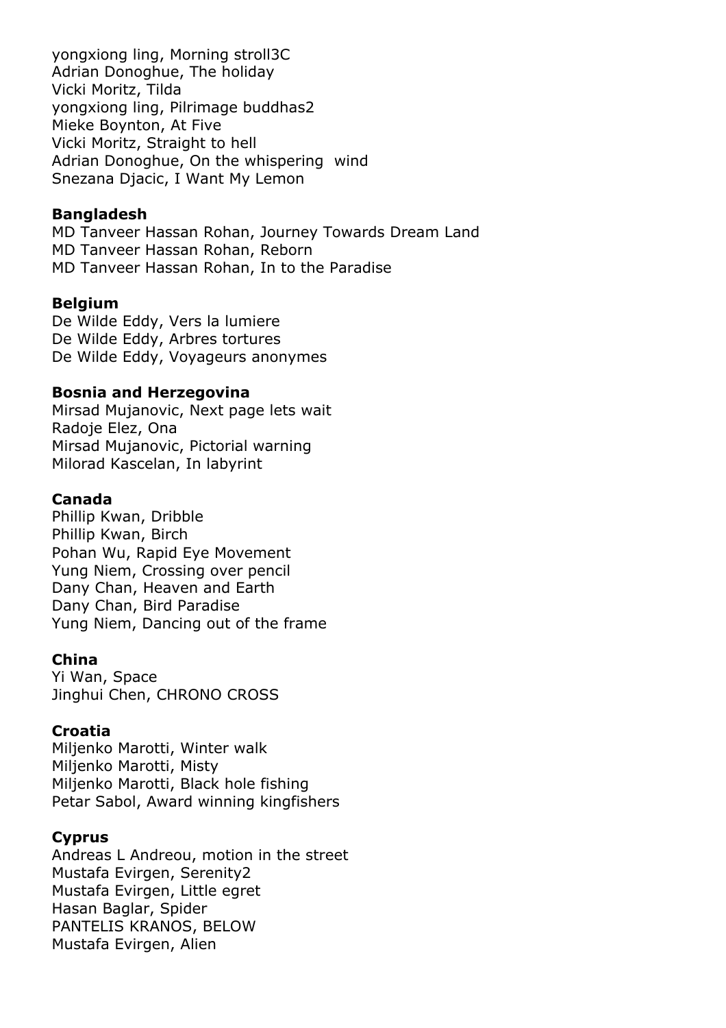yongxiong ling, Morning stroll3C Adrian Donoghue, The holiday Vicki Moritz, Tilda yongxiong ling, Pilrimage buddhas2 Mieke Boynton, At Five Vicki Moritz, Straight to hell Adrian Donoghue, On the whispering wind Snezana Djacic, I Want My Lemon

#### **Bangladesh**

MD Tanveer Hassan Rohan, Journey Towards Dream Land MD Tanveer Hassan Rohan, Reborn MD Tanveer Hassan Rohan, In to the Paradise

#### **Belgium**

De Wilde Eddy, Vers la lumiere De Wilde Eddy, Arbres tortures De Wilde Eddy, Voyageurs anonymes

#### **Bosnia and Herzegovina**

Mirsad Mujanovic, Next page lets wait Radoje Elez, Ona Mirsad Mujanovic, Pictorial warning Milorad Kascelan, In labyrint

#### **Canada**

Phillip Kwan, Dribble Phillip Kwan, Birch Pohan Wu, Rapid Eye Movement Yung Niem, Crossing over pencil Dany Chan, Heaven and Earth Dany Chan, Bird Paradise Yung Niem, Dancing out of the frame

#### **China**

Yi Wan, Space Jinghui Chen, CHRONO CROSS

#### **Croatia**

Miljenko Marotti, Winter walk Miljenko Marotti, Misty Miljenko Marotti, Black hole fishing Petar Sabol, Award winning kingfishers

#### **Cyprus**

Andreas L Andreou, motion in the street Mustafa Evirgen, Serenity2 Mustafa Evirgen, Little egret Hasan Baglar, Spider PANTELIS KRANOS, BELOW Mustafa Evirgen, Alien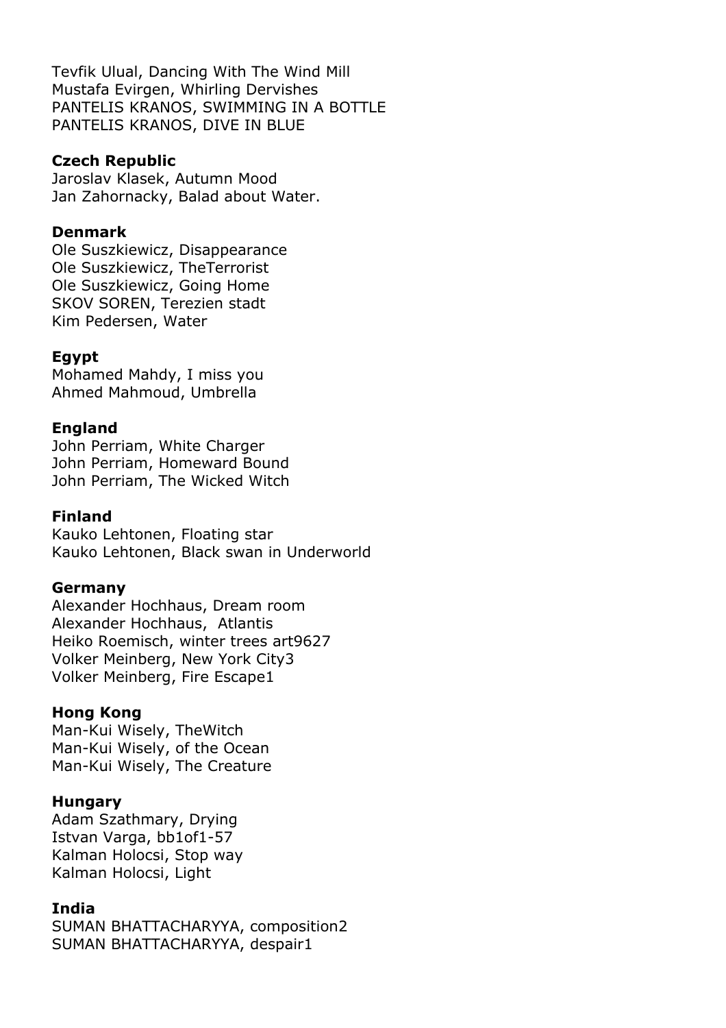Tevfik Ulual, Dancing With The Wind Mill Mustafa Evirgen, Whirling Dervishes PANTELIS KRANOS, SWIMMING IN A BOTTLE PANTELIS KRANOS, DIVE IN BLUE

#### **Czech Republic**

Jaroslav Klasek, Autumn Mood Jan Zahornacky, Balad about Water.

#### **Denmark**

Ole Suszkiewicz, Disappearance Ole Suszkiewicz, TheTerrorist Ole Suszkiewicz, Going Home SKOV SOREN, Terezien stadt Kim Pedersen, Water

#### **Egypt**

Mohamed Mahdy, I miss you Ahmed Mahmoud, Umbrella

#### **England**

John Perriam, White Charger John Perriam, Homeward Bound John Perriam, The Wicked Witch

#### **Finland**

Kauko Lehtonen, Floating star Kauko Lehtonen, Black swan in Underworld

#### **Germany**

Alexander Hochhaus, Dream room Alexander Hochhaus, Atlantis Heiko Roemisch, winter trees art9627 Volker Meinberg, New York City3 Volker Meinberg, Fire Escape1

#### **Hong Kong**

Man-Kui Wisely, TheWitch Man-Kui Wisely, of the Ocean Man-Kui Wisely, The Creature

#### **Hungary**

Adam Szathmary, Drying Istvan Varga, bb1of1-57 Kalman Holocsi, Stop way Kalman Holocsi, Light

#### **India**

SUMAN BHATTACHARYYA, composition2 SUMAN BHATTACHARYYA, despair1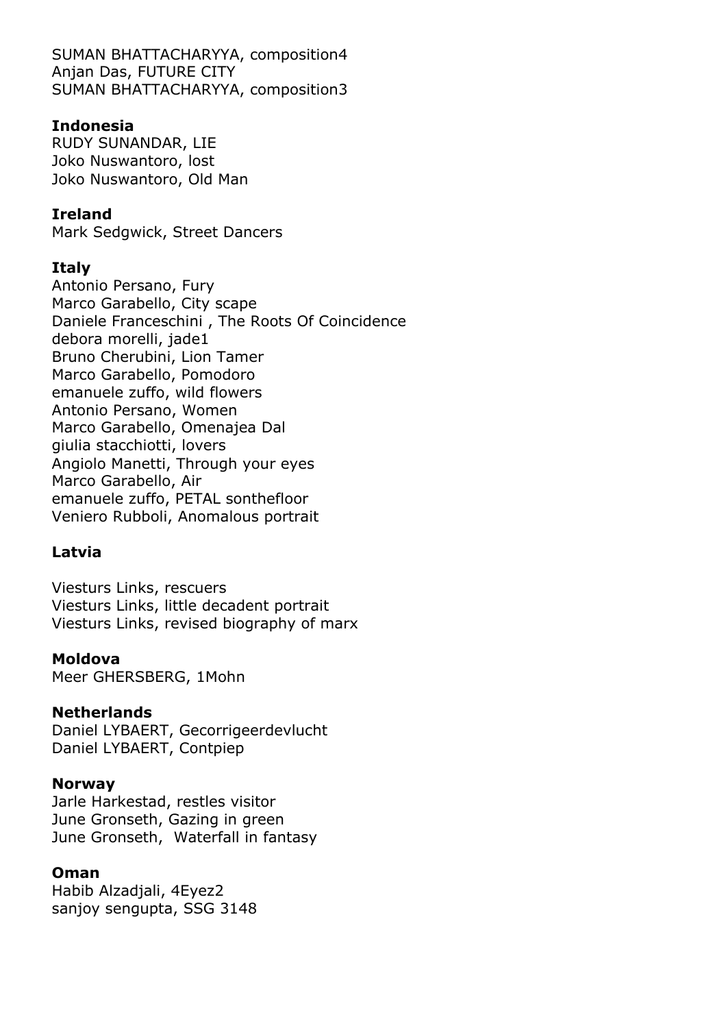SUMAN BHATTACHARYYA, composition4 Anjan Das, FUTURE CITY SUMAN BHATTACHARYYA, composition3

#### **Indonesia**

RUDY SUNANDAR, LIE Joko Nuswantoro, lost Joko Nuswantoro, Old Man

# **Ireland**

Mark Sedgwick, Street Dancers

# **Italy**

Antonio Persano, Fury Marco Garabello, City scape Daniele Franceschini , The Roots Of Coincidence debora morelli, jade1 Bruno Cherubini, Lion Tamer Marco Garabello, Pomodoro emanuele zuffo, wild flowers Antonio Persano, Women Marco Garabello, Omenajea Dal giulia stacchiotti, lovers Angiolo Manetti, Through your eyes Marco Garabello, Air emanuele zuffo, PETAL sonthefloor Veniero Rubboli, Anomalous portrait

# **Latvia**

Viesturs Links, rescuers Viesturs Links, little decadent portrait Viesturs Links, revised biography of marx

#### **Moldova**

Meer GHERSBERG, 1Mohn

#### **Netherlands**

Daniel LYBAERT, Gecorrigeerdevlucht Daniel LYBAERT, Contpiep

#### **Norway**

Jarle Harkestad, restles visitor June Gronseth, Gazing in green June Gronseth, Waterfall in fantasy

#### **Oman**

Habib Alzadjali, 4Eyez2 sanjoy sengupta, SSG 3148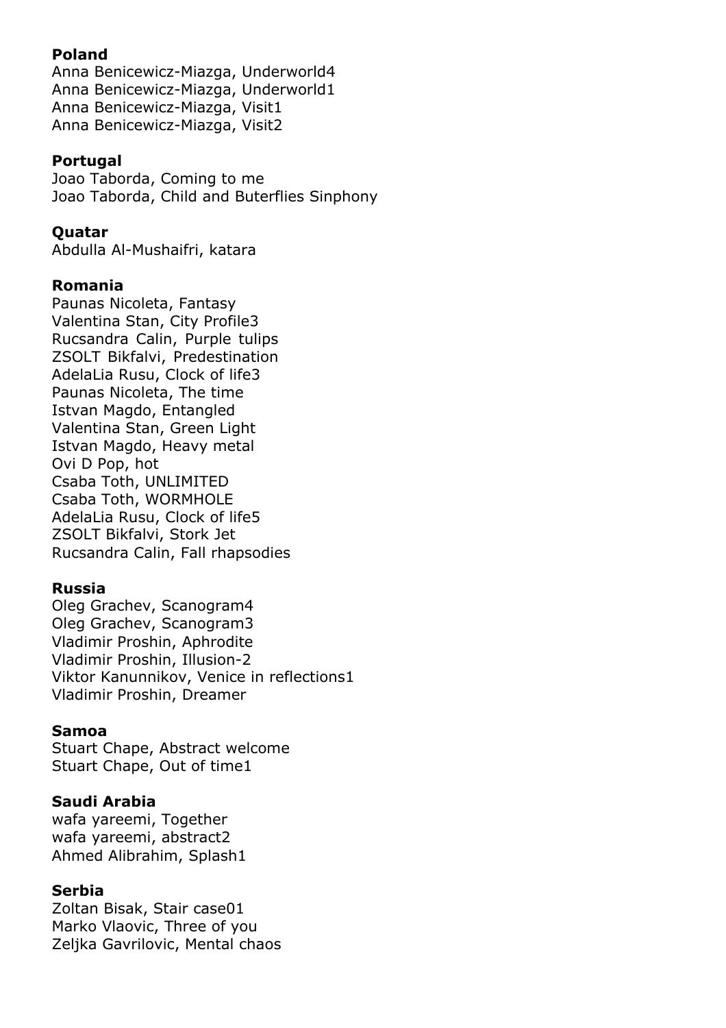# **Poland**

Anna Benicewicz-Miazga, Underworld4 Anna Benicewicz-Miazga, Underworld1 Anna Benicewicz-Miazga, Visit1 Anna Benicewicz-Miazga, Visit2

# **Portugal**

Joao Taborda, Coming to me Joao Taborda, Child and Buterflies Sinphony

#### **Quatar**

Abdulla Al-Mushaifri, katara

# **Romania**

Paunas Nicoleta, Fantasy Valentina Stan, City Profile3 Rucsandra Calin, Purple tulips ZSOLT Bikfalvi, Predestination AdelaLia Rusu, Clock of life3 Paunas Nicoleta, The time Istvan Magdo, Entangled Valentina Stan, Green Light Istvan Magdo, Heavy metal Ovi D Pop, hot Csaba Toth, UNLIMITED Csaba Toth, WORMHOLE AdelaLia Rusu, Clock of life5 ZSOLT Bikfalvi, Stork Jet Rucsandra Calin, Fall rhapsodies

#### **Russia**

Oleg Grachev, Scanogram4 Oleg Grachev, Scanogram3 Vladimir Proshin, Aphrodite Vladimir Proshin, Illusion-2 Viktor Kanunnikov, Venice in reflections1 Vladimir Proshin, Dreamer

#### **Samoa**

Stuart Chape, Abstract welcome Stuart Chape, Out of time1

#### **Saudi Arabia**

wafa yareemi, Together wafa yareemi, abstract2 Ahmed Alibrahim, Splash1

#### **Serbia**

Zoltan Bisak, Stair case01 Marko Vlaovic, Three of you Zelika Gavrilovic, Mental chaos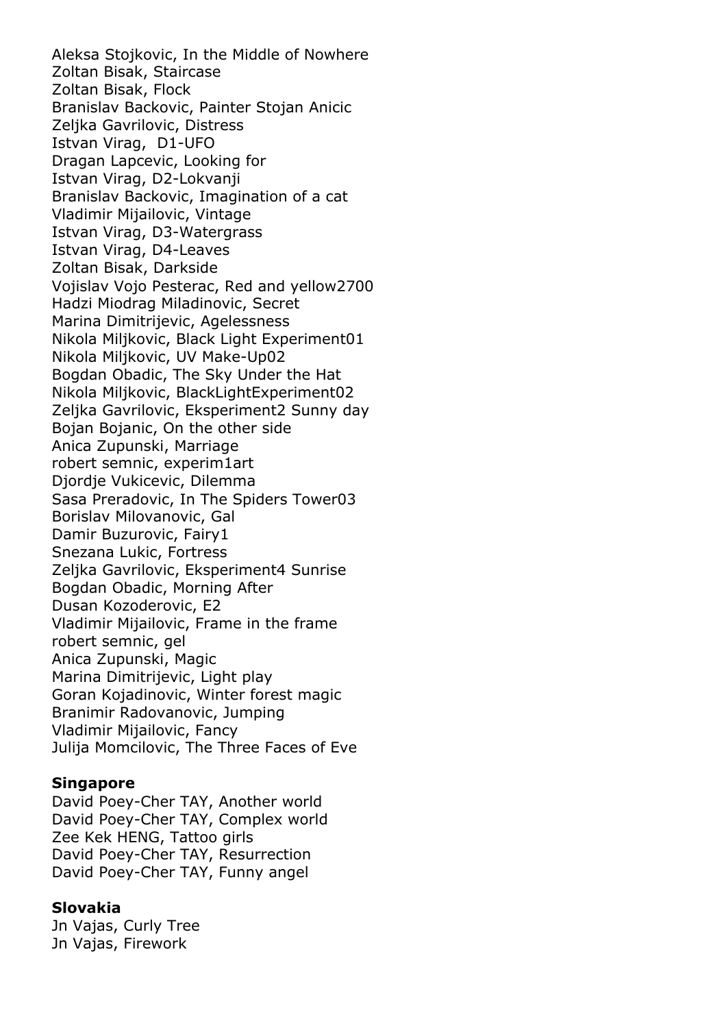Aleksa Stojkovic, In the Middle of Nowhere Zoltan Bisak, Staircase Zoltan Bisak, Flock Branislav Backovic, Painter Stojan Anicic Zeljka Gavrilovic, Distress Istvan Virag, D1-UFO Dragan Lapcevic, Looking for Istvan Virag, D2-Lokvanji Branislav Backovic, Imagination of a cat Vladimir Mijailovic, Vintage Istvan Virag, D3-Watergrass Istvan Virag, D4-Leaves Zoltan Bisak, Darkside Vojislav Vojo Pesterac, Red and yellow2700 Hadzi Miodrag Miladinovic, Secret Marina Dimitrijevic, Agelessness Nikola Miljkovic, Black Light Experiment01 Nikola Miljkovic, UV Make-Up02 Bogdan Obadic, The Sky Under the Hat Nikola Miljkovic, BlackLightExperiment02 Zeljka Gavrilovic, Eksperiment2 Sunny day Bojan Bojanic, On the other side Anica Zupunski, Marriage robert semnic, experim1art Djordje Vukicevic, Dilemma Sasa Preradovic, In The Spiders Tower03 Borislav Milovanovic, Gal Damir Buzurovic, Fairy1 Snezana Lukic, Fortress Zeljka Gavrilovic, Eksperiment4 Sunrise Bogdan Obadic, Morning After Dusan Kozoderovic, E2 Vladimir Mijailovic, Frame in the frame robert semnic, gel Anica Zupunski, Magic Marina Dimitrijevic, Light play Goran Kojadinovic, Winter forest magic Branimir Radovanovic, Jumping Vladimir Mijailovic, Fancy Julija Momcilovic, The Three Faces of Eve

#### **Singapore**

David Poey-Cher TAY, Another world David Poey-Cher TAY, Complex world Zee Kek HENG, Tattoo girls David Poey-Cher TAY, Resurrection David Poey-Cher TAY, Funny angel

#### **Slovakia**

Jn Vajas, Curly Tree Jn Vajas, Firework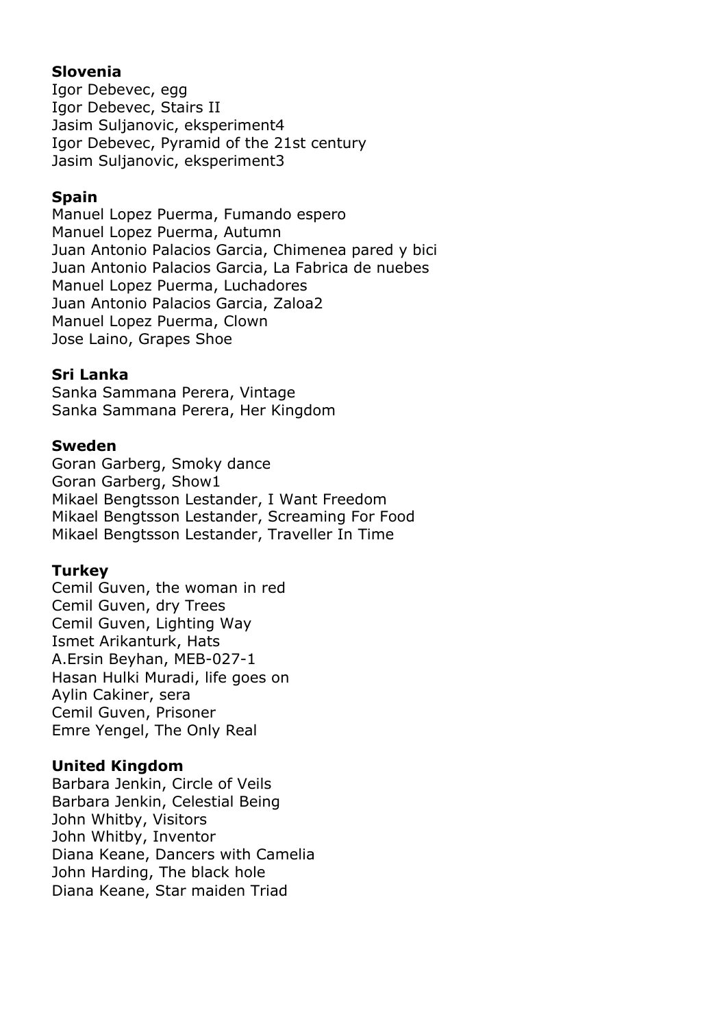## **Slovenia**

Igor Debevec, egg Igor Debevec, Stairs II Jasim Suljanovic, eksperiment4 Igor Debevec, Pyramid of the 21st century Jasim Suljanovic, eksperiment3

#### **Spain**

Manuel Lopez Puerma, Fumando espero Manuel Lopez Puerma, Autumn Juan Antonio Palacios Garcia, Chimenea pared y bici Juan Antonio Palacios Garcia, La Fabrica de nuebes Manuel Lopez Puerma, Luchadores Juan Antonio Palacios Garcia, Zaloa2 Manuel Lopez Puerma, Clown Jose Laino, Grapes Shoe

# **Sri Lanka**

Sanka Sammana Perera, Vintage Sanka Sammana Perera, Her Kingdom

# **Sweden**

Goran Garberg, Smoky dance Goran Garberg, Show1 Mikael Bengtsson Lestander, I Want Freedom Mikael Bengtsson Lestander, Screaming For Food Mikael Bengtsson Lestander, Traveller In Time

# **Turkey**

Cemil Guven, the woman in red Cemil Guven, dry Trees Cemil Guven, Lighting Way Ismet Arikanturk, Hats A.Ersin Beyhan, MEB-027-1 Hasan Hulki Muradi, life goes on Aylin Cakiner, sera Cemil Guven, Prisoner Emre Yengel, The Only Real

# **United Kingdom**

Barbara Jenkin, Circle of Veils Barbara Jenkin, Celestial Being John Whitby, Visitors John Whitby, Inventor Diana Keane, Dancers with Camelia John Harding, The black hole Diana Keane, Star maiden Triad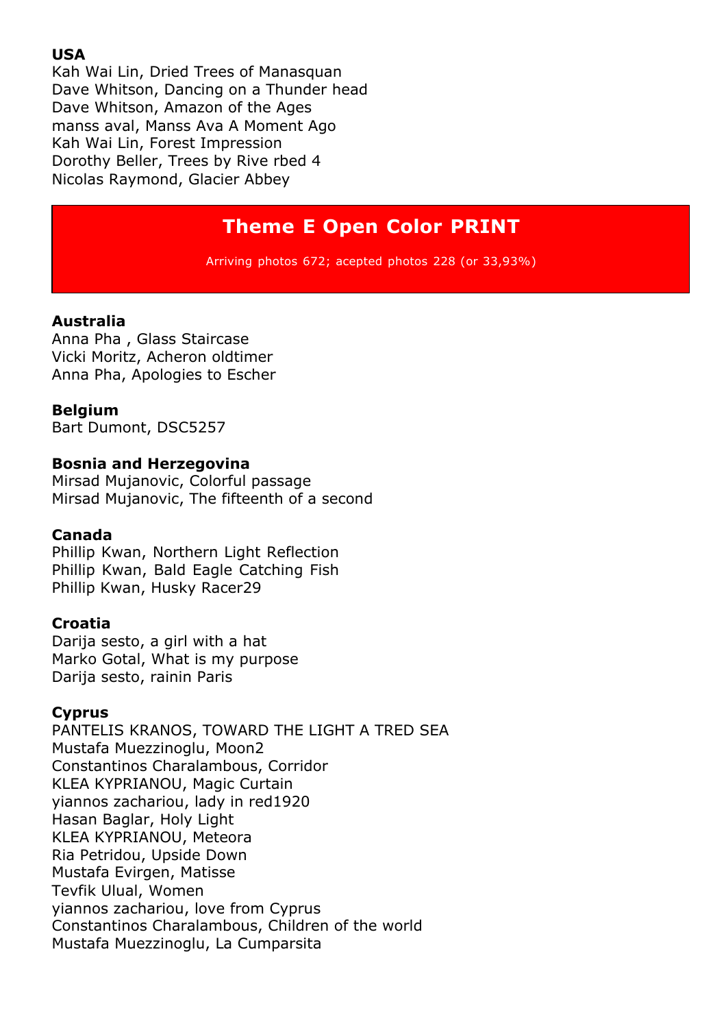#### **USA**

Kah Wai Lin, Dried Trees of Manasquan Dave Whitson, Dancing on a Thunder head Dave Whitson, Amazon of the Ages manss aval, Manss Ava A Moment Ago Kah Wai Lin, Forest Impression Dorothy Beller, Trees by Rive rbed 4 Nicolas Raymond, Glacier Abbey

# **Theme E Open Color PRINT**

Arriving photos 672; acepted photos 228 (or 33,93%)

#### **Australia**

Anna Pha , Glass Staircase Vicki Moritz, Acheron oldtimer Anna Pha, Apologies to Escher

#### **Belgium**

Bart Dumont, DSC5257

#### **Bosnia and Herzegovina**

Mirsad Mujanovic, Colorful passage Mirsad Mujanovic, The fifteenth of a second

#### **Canada**

Phillip Kwan, Northern Light Reflection Phillip Kwan, Bald Eagle Catching Fish Phillip Kwan, Husky Racer29

#### **Croatia**

Darija sesto, a girl with a hat Marko Gotal, What is my purpose Darija sesto, rainin Paris

#### **Cyprus**

PANTELIS KRANOS, TOWARD THE LIGHT A TRED SEA Mustafa Muezzinoglu, Moon2 Constantinos Charalambous, Corridor KLEA KYPRIANOU, Magic Curtain yiannos zachariou, lady in red1920 Hasan Baglar, Holy Light KLEA KYPRIANOU, Meteora Ria Petridou, Upside Down Mustafa Evirgen, Matisse Tevfik Ulual, Women yiannos zachariou, love from Cyprus Constantinos Charalambous, Children of the world Mustafa Muezzinoglu, La Cumparsita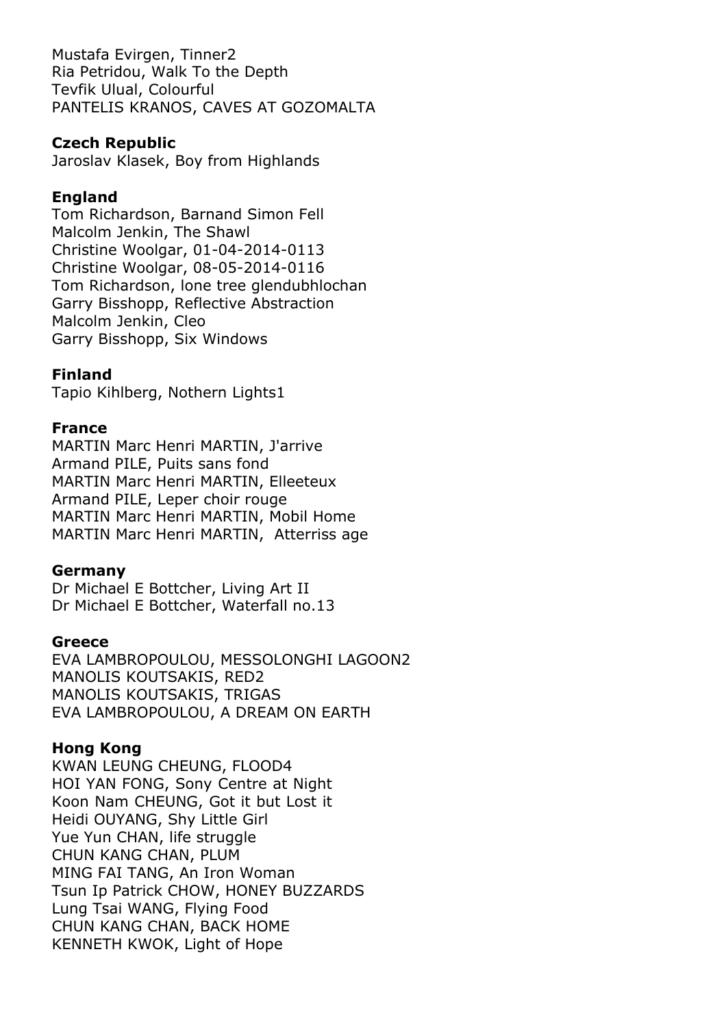Mustafa Evirgen, Tinner2 Ria Petridou, Walk To the Depth Tevfik Ulual, Colourful PANTELIS KRANOS, CAVES AT GOZOMALTA

# **Czech Republic**

Jaroslav Klasek, Boy from Highlands

# **England**

Tom Richardson, Barnand Simon Fell Malcolm Jenkin, The Shawl Christine Woolgar, 01-04-2014-0113 Christine Woolgar, 08-05-2014-0116 Tom Richardson, lone tree glendubhlochan Garry Bisshopp, Reflective Abstraction Malcolm Jenkin, Cleo Garry Bisshopp, Six Windows

# **Finland**

Tapio Kihlberg, Nothern Lights1

# **France**

MARTIN Marc Henri MARTIN, J'arrive Armand PILE, Puits sans fond MARTIN Marc Henri MARTIN, Elleeteux Armand PILE, Leper choir rouge MARTIN Marc Henri MARTIN, Mobil Home MARTIN Marc Henri MARTIN, Atterriss age

#### **Germany**

Dr Michael E Bottcher, Living Art II Dr Michael E Bottcher, Waterfall no.13

#### **Greece**

EVA LAMBROPOULOU, MESSOLONGHI LAGOON2 MANOLIS KOUTSAKIS, RED2 MANOLIS KOUTSAKIS, TRIGAS EVA LAMBROPOULOU, A DREAM ON EARTH

# **Hong Kong**

KWAN LEUNG CHEUNG, FLOOD4 HOI YAN FONG, Sony Centre at Night Koon Nam CHEUNG, Got it but Lost it Heidi OUYANG, Shy Little Girl Yue Yun CHAN, life struggle CHUN KANG CHAN, PLUM MING FAI TANG, An Iron Woman Tsun Ip Patrick CHOW, HONEY BUZZARDS Lung Tsai WANG, Flying Food CHUN KANG CHAN, BACK HOME KENNETH KWOK, Light of Hope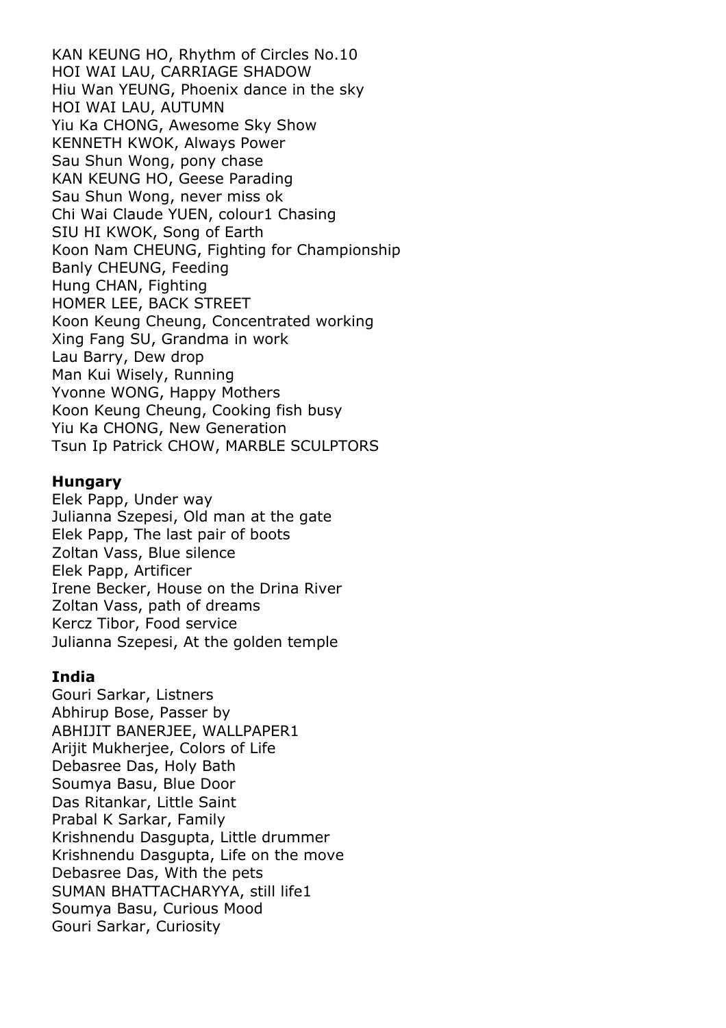KAN KEUNG HO, Rhythm of Circles No.10 HOI WAI LAU, CARRIAGE SHADOW Hiu Wan YEUNG, Phoenix dance in the sky HOI WAI LAU, AUTUMN Yiu Ka CHONG, Awesome Sky Show KENNETH KWOK, Always Power Sau Shun Wong, pony chase KAN KEUNG HO, Geese Parading Sau Shun Wong, never miss ok Chi Wai Claude YUEN, colour1 Chasing SIU HI KWOK, Song of Earth Koon Nam CHEUNG, Fighting for Championship Banly CHEUNG, Feeding Hung CHAN, Fighting HOMER LEE, BACK STREET Koon Keung Cheung, Concentrated working Xing Fang SU, Grandma in work Lau Barry, Dew drop Man Kui Wisely, Running Yvonne WONG, Happy Mothers Koon Keung Cheung, Cooking fish busy Yiu Ka CHONG, New Generation Tsun Ip Patrick CHOW, MARBLE SCULPTORS

#### **Hungary**

Elek Papp, Under way Julianna Szepesi, Old man at the gate Elek Papp, The last pair of boots Zoltan Vass, Blue silence Elek Papp, Artificer Irene Becker, House on the Drina River Zoltan Vass, path of dreams Kercz Tibor, Food service Julianna Szepesi, At the golden temple

#### **India**

Gouri Sarkar, Listners Abhirup Bose, Passer by ABHIJIT BANERJEE, WALLPAPER1 Arijit Mukherjee, Colors of Life Debasree Das, Holy Bath Soumya Basu, Blue Door Das Ritankar, Little Saint Prabal K Sarkar, Family Krishnendu Dasgupta, Little drummer Krishnendu Dasgupta, Life on the move Debasree Das, With the pets SUMAN BHATTACHARYYA, still life1 Soumya Basu, Curious Mood Gouri Sarkar, Curiosity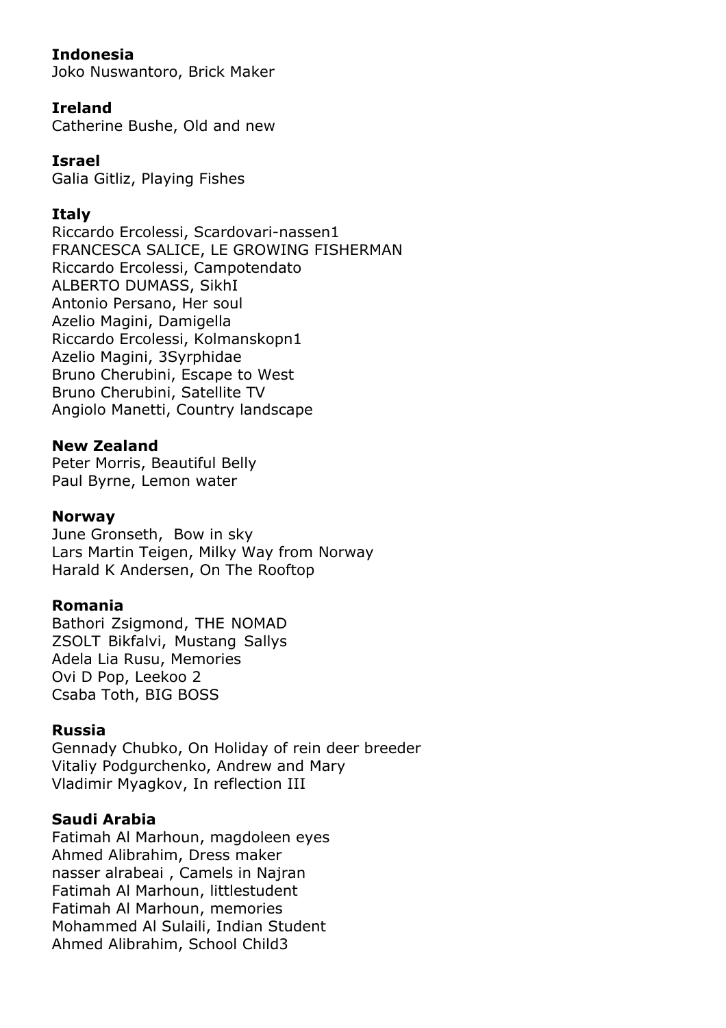# **Indonesia**

Joko Nuswantoro, Brick Maker

# **Ireland**

Catherine Bushe, Old and new

# **Israel**

Galia Gitliz, Playing Fishes

# **Italy**

Riccardo Ercolessi, Scardovari-nassen1 FRANCESCA SALICE, LE GROWING FISHERMAN Riccardo Ercolessi, Campotendato ALBERTO DUMASS, SikhI Antonio Persano, Her soul Azelio Magini, Damigella Riccardo Ercolessi, Kolmanskopn1 Azelio Magini, 3Syrphidae Bruno Cherubini, Escape to West Bruno Cherubini, Satellite TV Angiolo Manetti, Country landscape

#### **New Zealand**

Peter Morris, Beautiful Belly Paul Byrne, Lemon water

#### **Norway**

June Gronseth, Bow in sky Lars Martin Teigen, Milky Way from Norway Harald K Andersen, On The Rooftop

#### **Romania**

Bathori Zsigmond, THE NOMAD ZSOLT Bikfalvi, Mustang Sallys Adela Lia Rusu, Memories Ovi D Pop, Leekoo 2 Csaba Toth, BIG BOSS

#### **Russia**

Gennady Chubko, On Holiday of rein deer breeder Vitaliy Podgurchenko, Andrew and Mary Vladimir Myagkov, In reflection III

#### **Saudi Arabia**

Fatimah Al Marhoun, magdoleen eyes Ahmed Alibrahim, Dress maker nasser alrabeai , Camels in Najran Fatimah Al Marhoun, littlestudent Fatimah Al Marhoun, memories Mohammed Al Sulaili, Indian Student Ahmed Alibrahim, School Child3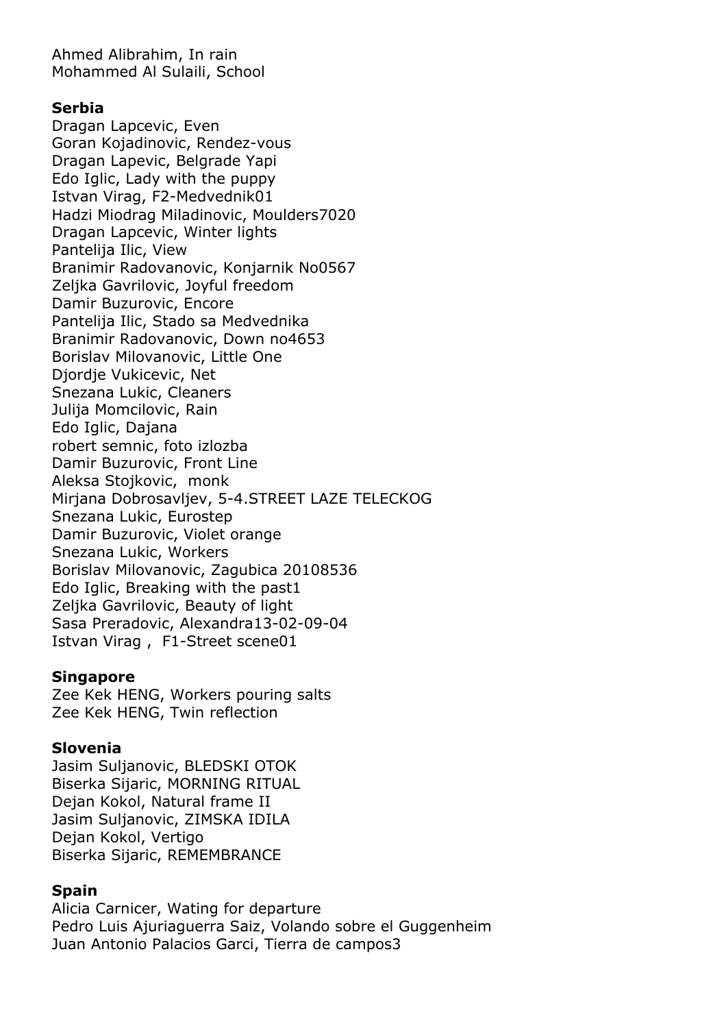Ahmed Alibrahim, In rain Mohammed Al Sulaili, School

#### **Serbia**

Dragan Lapcevic, Even Goran Kojadinovic, Rendez-vous Dragan Lapevic, Belgrade Yapi Edo Iglic, Lady with the puppy Istvan Virag, F2-Medvednik01 Hadzi Miodrag Miladinovic, Moulders7020 Dragan Lapcevic, Winter lights Pantelija Ilic, View Branimir Radovanovic, Konjarnik No0567 Zeljka Gavrilovic, Joyful freedom Damir Buzurovic, Encore Pantelija Ilic, Stado sa Medvednika Branimir Radovanovic, Down no4653 Borislav Milovanovic, Little One Djordje Vukicevic, Net Snezana Lukic, Cleaners Julija Momcilovic, Rain Edo Iglic, Dajana robert semnic, foto izlozba Damir Buzurovic, Front Line Aleksa Stojkovic, monk Mirjana Dobrosavljev, 5-4.STREET LAZE TELECKOG Snezana Lukic, Eurostep Damir Buzurovic, Violet orange Snezana Lukic, Workers Borislav Milovanovic, Zagubica 20108536 Edo Iglic, Breaking with the past1 Zeljka Gavrilovic, Beauty of light Sasa Preradovic, Alexandra13-02-09-04 Istvan Virag , F1-Street scene01

#### **Singapore**

Zee Kek HENG, Workers pouring salts Zee Kek HENG, Twin reflection

#### **Slovenia**

Jasim Suljanovic, BLEDSKI OTOK Biserka Sijaric, MORNING RITUAL Dejan Kokol, Natural frame II Jasim Suljanovic, ZIMSKA IDILA Dejan Kokol, Vertigo Biserka Sijaric, REMEMBRANCE

# **Spain**

Alicia Carnicer, Wating for departure Pedro Luis Ajuriaguerra Saiz, Volando sobre el Guggenheim Juan Antonio Palacios Garci, Tierra de campos3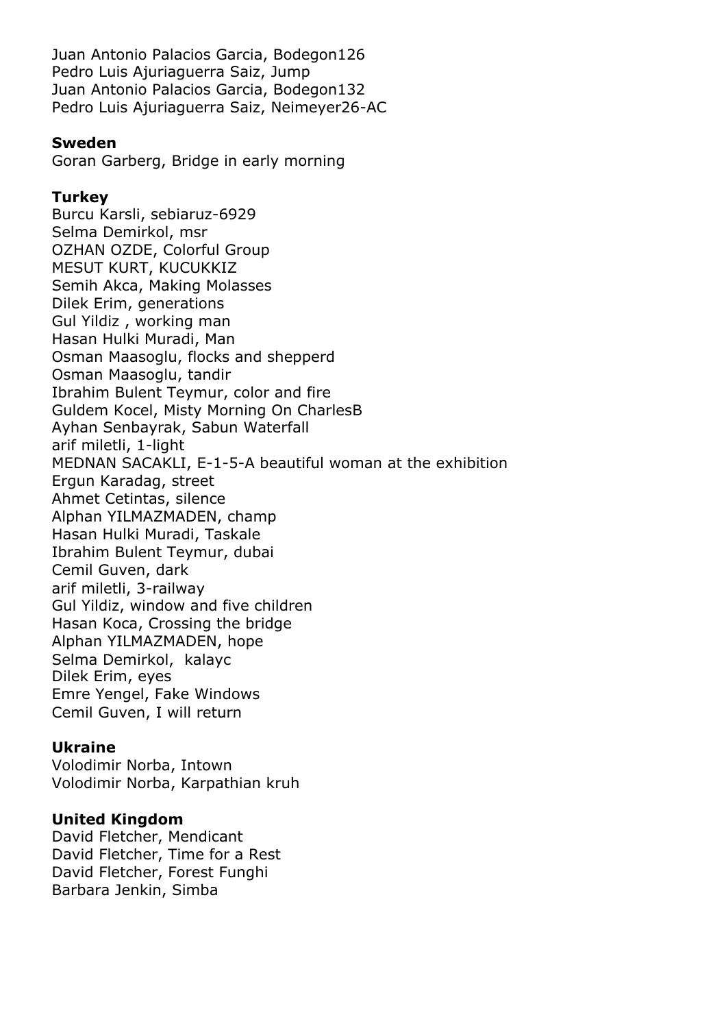Juan Antonio Palacios Garcia, Bodegon126 Pedro Luis Ajuriaguerra Saiz, Jump Juan Antonio Palacios Garcia, Bodegon132 Pedro Luis Ajuriaguerra Saiz, Neimeyer26-AC

#### **Sweden**

Goran Garberg, Bridge in early morning

#### **Turkey**

Burcu Karsli, sebiaruz-6929 Selma Demirkol, msr OZHAN OZDE, Colorful Group MESUT KURT, KUCUKKIZ Semih Akca, Making Molasses Dilek Erim, generations Gul Yildiz , working man Hasan Hulki Muradi, Man Osman Maasoglu, flocks and shepperd Osman Maasoglu, tandir Ibrahim Bulent Teymur, color and fire Guldem Kocel, Misty Morning On CharlesB Ayhan Senbayrak, Sabun Waterfall arif miletli, 1-light MEDNAN SACAKLI, E-1-5-A beautiful woman at the exhibition Ergun Karadag, street Ahmet Cetintas, silence Alphan YILMAZMADEN, champ Hasan Hulki Muradi, Taskale Ibrahim Bulent Teymur, dubai Cemil Guven, dark arif miletli, 3-railway Gul Yildiz, window and five children Hasan Koca, Crossing the bridge Alphan YILMAZMADEN, hope Selma Demirkol, kalayc Dilek Erim, eyes Emre Yengel, Fake Windows Cemil Guven, I will return

# **Ukraine**

Volodimir Norba, Intown Volodimir Norba, Karpathian kruh

# **United Kingdom**

David Fletcher, Mendicant David Fletcher, Time for a Rest David Fletcher, Forest Funghi Barbara Jenkin, Simba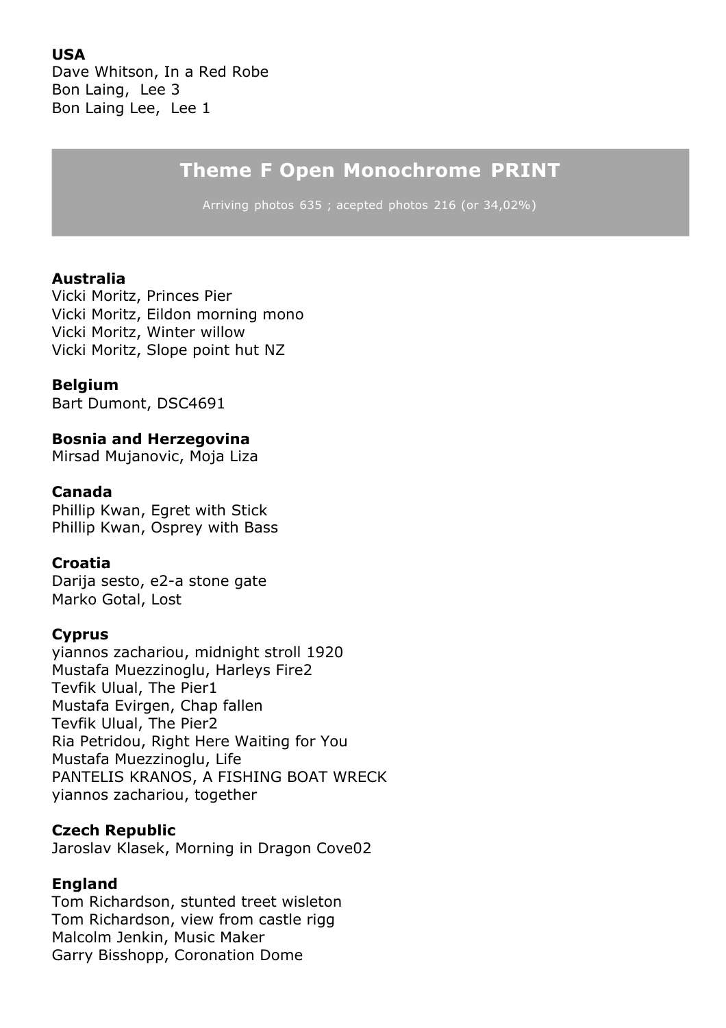**USA**

Dave Whitson, In a Red Robe Bon Laing, Lee 3 Bon Laing Lee, Lee 1

# **Theme F Open Monochrome PRINT**

Arriving photos 635 ; acepted photos 216 (or 34,02%)

#### **Australia**

Vicki Moritz, Princes Pier Vicki Moritz, Eildon morning mono Vicki Moritz, Winter willow Vicki Moritz, Slope point hut NZ

#### **Belgium**

Bart Dumont, DSC4691

#### **Bosnia and Herzegovina**

Mirsad Mujanovic, Moja Liza

#### **Canada**

Phillip Kwan, Egret with Stick Phillip Kwan, Osprey with Bass

#### **Croatia**

Darija sesto, e2-a stone gate Marko Gotal, Lost

#### **Cyprus**

yiannos zachariou, midnight stroll 1920 Mustafa Muezzinoglu, Harleys Fire2 Tevfik Ulual, The Pier1 Mustafa Evirgen, Chap fallen Tevfik Ulual, The Pier2 Ria Petridou, Right Here Waiting for You Mustafa Muezzinoglu, Life PANTELIS KRANOS, A FISHING BOAT WRECK yiannos zachariou, together

#### **Czech Republic**

Jaroslav Klasek, Morning in Dragon Cove02

#### **England**

Tom Richardson, stunted treet wisleton Tom Richardson, view from castle rigg Malcolm Jenkin, Music Maker Garry Bisshopp, Coronation Dome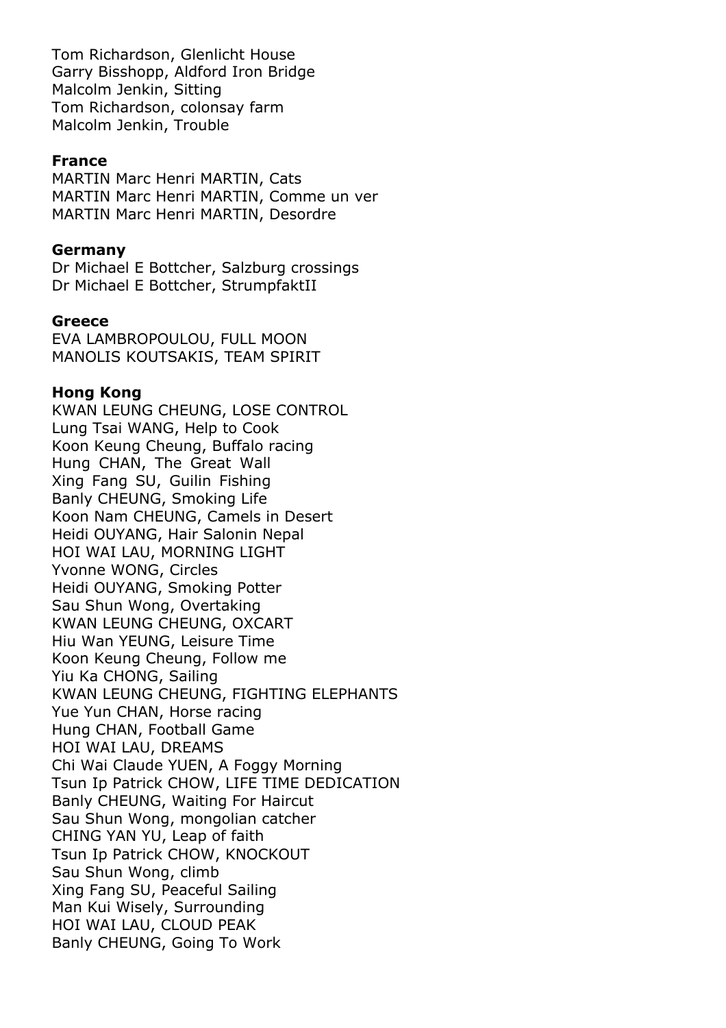Tom Richardson, Glenlicht House Garry Bisshopp, Aldford Iron Bridge Malcolm Jenkin, Sitting Tom Richardson, colonsay farm Malcolm Jenkin, Trouble

#### **France**

MARTIN Marc Henri MARTIN, Cats MARTIN Marc Henri MARTIN, Comme un ver MARTIN Marc Henri MARTIN, Desordre

#### **Germany**

Dr Michael E Bottcher, Salzburg crossings Dr Michael E Bottcher, StrumpfaktII

#### **Greece**

EVA LAMBROPOULOU, FULL MOON MANOLIS KOUTSAKIS, TEAM SPIRIT

#### **Hong Kong**

KWAN LEUNG CHEUNG, LOSE CONTROL Lung Tsai WANG, Help to Cook Koon Keung Cheung, Buffalo racing Hung CHAN, The Great Wall Xing Fang SU, Guilin Fishing Banly CHEUNG, Smoking Life Koon Nam CHEUNG, Camels in Desert Heidi OUYANG, Hair Salonin Nepal HOI WAI LAU, MORNING LIGHT Yvonne WONG, Circles Heidi OUYANG, Smoking Potter Sau Shun Wong, Overtaking KWAN LEUNG CHEUNG, OXCART Hiu Wan YEUNG, Leisure Time Koon Keung Cheung, Follow me Yiu Ka CHONG, Sailing KWAN LEUNG CHEUNG, FIGHTING ELEPHANTS Yue Yun CHAN, Horse racing Hung CHAN, Football Game HOI WAI LAU, DREAMS Chi Wai Claude YUEN, A Foggy Morning Tsun Ip Patrick CHOW, LIFE TIME DEDICATION Banly CHEUNG, Waiting For Haircut Sau Shun Wong, mongolian catcher CHING YAN YU, Leap of faith Tsun Ip Patrick CHOW, KNOCKOUT Sau Shun Wong, climb Xing Fang SU, Peaceful Sailing Man Kui Wisely, Surrounding HOI WAI LAU, CLOUD PEAK Banly CHEUNG, Going To Work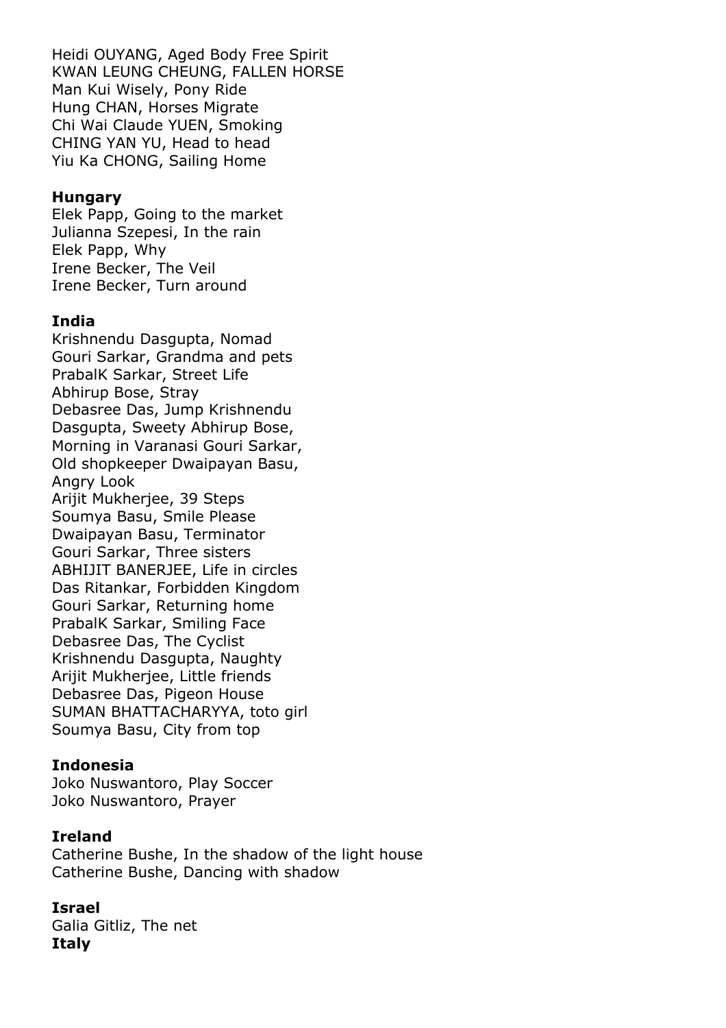Heidi OUYANG, Aged Body Free Spirit KWAN LEUNG CHEUNG, FALLEN HORSE Man Kui Wisely, Pony Ride Hung CHAN, Horses Migrate Chi Wai Claude YUEN, Smoking CHING YAN YU, Head to head Yiu Ka CHONG, Sailing Home

#### **Hungary**

Elek Papp, Going to the market Julianna Szepesi, In the rain Elek Papp, Why Irene Becker, The Veil Irene Becker, Turn around

#### **India**

Krishnendu Dasgupta, Nomad Gouri Sarkar, Grandma and pets PrabalK Sarkar, Street Life Abhirup Bose, Stray Debasree Das, Jump Krishnendu Dasgupta, Sweety Abhirup Bose, Morning in Varanasi Gouri Sarkar, Old shopkeeper Dwaipayan Basu, Angry Look Arijit Mukherjee, 39 Steps Soumya Basu, Smile Please Dwaipayan Basu, Terminator Gouri Sarkar, Three sisters ABHIJIT BANERJEE, Life in circles Das Ritankar, Forbidden Kingdom Gouri Sarkar, Returning home PrabalK Sarkar, Smiling Face Debasree Das, The Cyclist Krishnendu Dasgupta, Naughty Arijit Mukherjee, Little friends Debasree Das, Pigeon House SUMAN BHATTACHARYYA, toto girl Soumya Basu, City from top

#### **Indonesia**

Joko Nuswantoro, Play Soccer Joko Nuswantoro, Prayer

#### **Ireland**

Catherine Bushe, In the shadow of the light house Catherine Bushe, Dancing with shadow

#### **Israel**

Galia Gitliz, The net **Italy**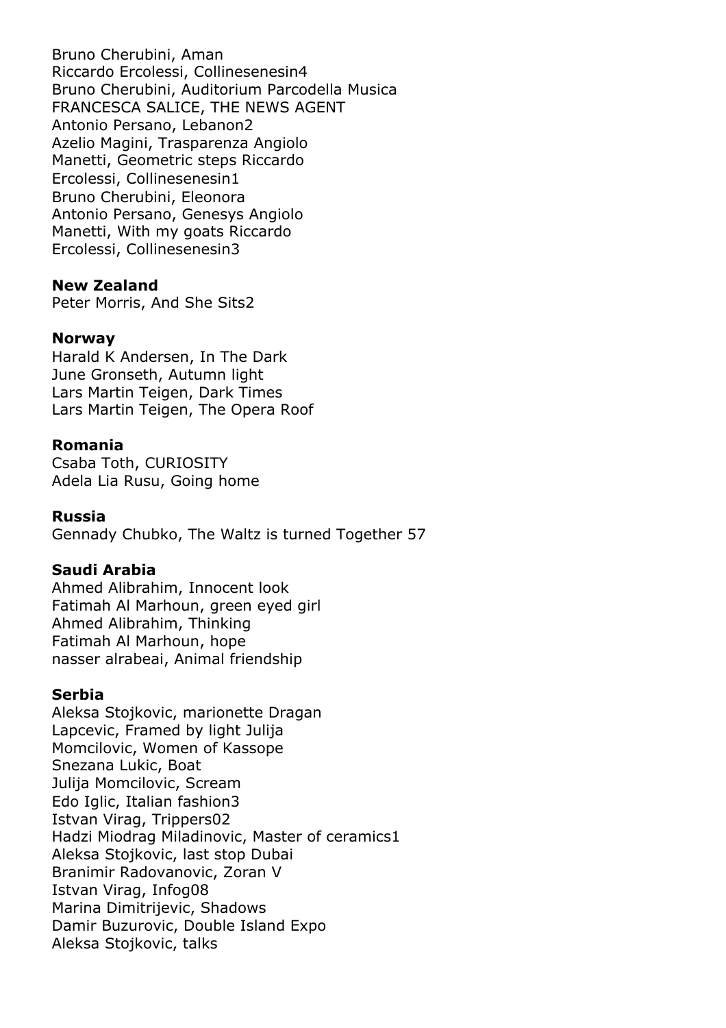Bruno Cherubini, Aman Riccardo Ercolessi, Collinesenesin4 Bruno Cherubini, Auditorium Parcodella Musica FRANCESCA SALICE, THE NEWS AGENT Antonio Persano, Lebanon2 Azelio Magini, Trasparenza Angiolo Manetti, Geometric steps Riccardo Ercolessi, Collinesenesin1 Bruno Cherubini, Eleonora Antonio Persano, Genesys Angiolo Manetti, With my goats Riccardo Ercolessi, Collinesenesin3

#### **New Zealand**

Peter Morris, And She Sits2

#### **Norway**

Harald K Andersen, In The Dark June Gronseth, Autumn light Lars Martin Teigen, Dark Times Lars Martin Teigen, The Opera Roof

#### **Romania**

Csaba Toth, CURIOSITY Adela Lia Rusu, Going home

#### **Russia**

Gennady Chubko, The Waltz is turned Together 57

#### **Saudi Arabia**

Ahmed Alibrahim, Innocent look Fatimah Al Marhoun, green eyed girl Ahmed Alibrahim, Thinking Fatimah Al Marhoun, hope nasser alrabeai, Animal friendship

#### **Serbia**

Aleksa Stojkovic, marionette Dragan Lapcevic, Framed by light Julija Momcilovic, Women of Kassope Snezana Lukic, Boat Julija Momcilovic, Scream Edo Iglic, Italian fashion3 Istvan Virag, Trippers02 Hadzi Miodrag Miladinovic, Master of ceramics1 Aleksa Stojkovic, last stop Dubai Branimir Radovanovic, Zoran V Istvan Virag, Infog08 Marina Dimitrijevic, Shadows Damir Buzurovic, Double Island Expo Aleksa Stojkovic, talks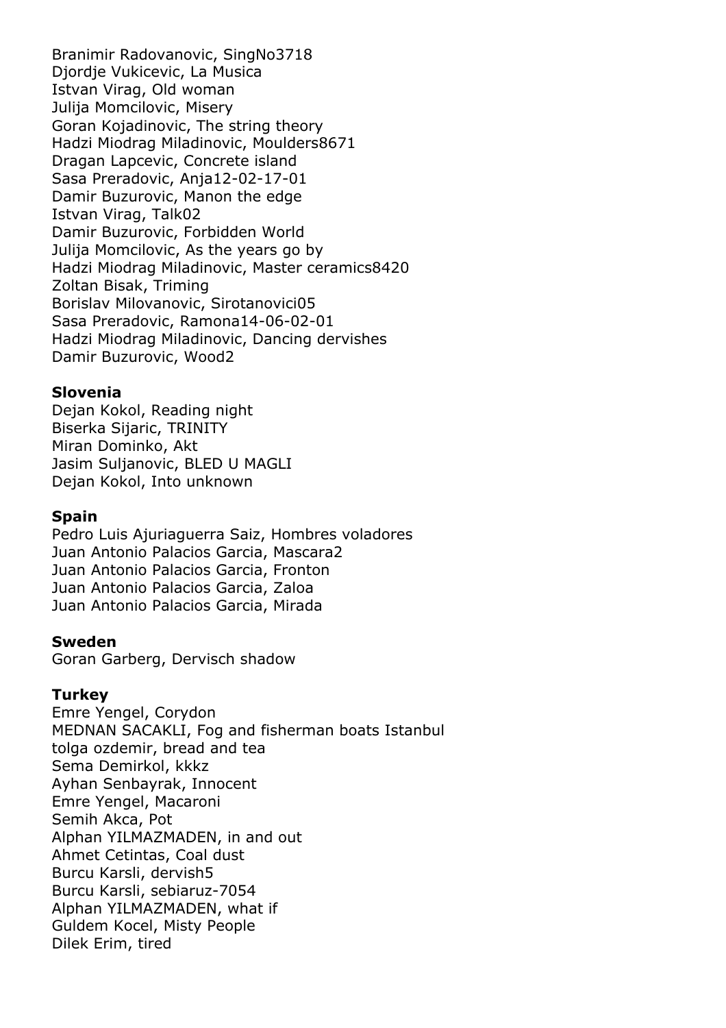Branimir Radovanovic, SingNo3718 Djordje Vukicevic, La Musica Istvan Virag, Old woman Julija Momcilovic, Misery Goran Kojadinovic, The string theory Hadzi Miodrag Miladinovic, Moulders8671 Dragan Lapcevic, Concrete island Sasa Preradovic, Anja12-02-17-01 Damir Buzurovic, Manon the edge Istvan Virag, Talk02 Damir Buzurovic, Forbidden World Julija Momcilovic, As the years go by Hadzi Miodrag Miladinovic, Master ceramics8420 Zoltan Bisak, Triming Borislav Milovanovic, Sirotanovici05 Sasa Preradovic, Ramona14-06-02-01 Hadzi Miodrag Miladinovic, Dancing dervishes Damir Buzurovic, Wood2

#### **Slovenia**

Dejan Kokol, Reading night Biserka Sijaric, TRINITY Miran Dominko, Akt Jasim Suljanovic, BLED U MAGLI Dejan Kokol, Into unknown

#### **Spain**

Pedro Luis Ajuriaguerra Saiz, Hombres voladores Juan Antonio Palacios Garcia, Mascara2 Juan Antonio Palacios Garcia, Fronton Juan Antonio Palacios Garcia, Zaloa Juan Antonio Palacios Garcia, Mirada

#### **Sweden**

Goran Garberg, Dervisch shadow

#### **Turkey**

Emre Yengel, Corydon MEDNAN SACAKLI, Fog and fisherman boats Istanbul tolga ozdemir, bread and tea Sema Demirkol, kkkz Ayhan Senbayrak, Innocent Emre Yengel, Macaroni Semih Akca, Pot Alphan YILMAZMADEN, in and out Ahmet Cetintas, Coal dust Burcu Karsli, dervish5 Burcu Karsli, sebiaruz-7054 Alphan YILMAZMADEN, what if Guldem Kocel, Misty People Dilek Erim, tired